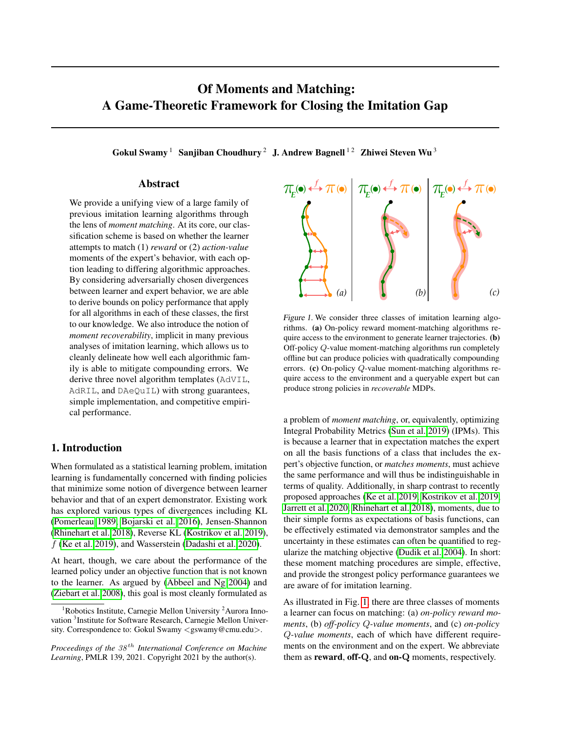# Of Moments and Matching: A Game-Theoretic Framework for Closing the Imitation Gap

Gokul Swamy<sup>1</sup> Sanjiban Choudhury<sup>2</sup> J. Andrew Bagnell<sup>12</sup> Zhiwei Steven Wu<sup>3</sup>

## Abstract

We provide a unifying view of a large family of previous imitation learning algorithms through the lens of *moment matching*. At its core, our classification scheme is based on whether the learner attempts to match (1) *reward* or (2) *action-value* moments of the expert's behavior, with each option leading to differing algorithmic approaches. By considering adversarially chosen divergences between learner and expert behavior, we are able to derive bounds on policy performance that apply for all algorithms in each of these classes, the first to our knowledge. We also introduce the notion of *moment recoverability*, implicit in many previous analyses of imitation learning, which allows us to cleanly delineate how well each algorithmic family is able to mitigate compounding errors. We derive three novel algorithm templates (AdVIL, AdRIL, and DAeQuIL) with strong guarantees, simple implementation, and competitive empirical performance.

## 1. Introduction

When formulated as a statistical learning problem, imitation learning is fundamentally concerned with finding policies that minimize some notion of divergence between learner behavior and that of an expert demonstrator. Existing work has explored various types of divergences including KL [\(Pomerleau 1989,](#page-9-0) [Bojarski et al. 2016\)](#page-9-1), Jensen-Shannon [\(Rhinehart et al. 2018\)](#page-10-0), Reverse KL [\(Kostrikov et al. 2019\)](#page-9-2),  $f$  [\(Ke et al. 2019\)](#page-9-3), and Wasserstein [\(Dadashi et al. 2020\)](#page-9-4).

At heart, though, we care about the performance of the learned policy under an objective function that is not known to the learner. As argued by [\(Abbeel and Ng 2004\)](#page-9-5) and [\(Ziebart et al. 2008\)](#page-10-1), this goal is most cleanly formulated as

<span id="page-0-0"></span>

Figure 1. We consider three classes of imitation learning algorithms. (a) On-policy reward moment-matching algorithms require access to the environment to generate learner trajectories. (b) Off-policy Q-value moment-matching algorithms run completely offline but can produce policies with quadratically compounding errors. (c) On-policy Q-value moment-matching algorithms require access to the environment and a queryable expert but can produce strong policies in *recoverable* MDPs.

a problem of *moment matching*, or, equivalently, optimizing Integral Probability Metrics [\(Sun et al. 2019\)](#page-10-2) (IPMs). This is because a learner that in expectation matches the expert on all the basis functions of a class that includes the expert's objective function, or *matches moments*, must achieve the same performance and will thus be indistinguishable in terms of quality. Additionally, in sharp contrast to recently proposed approaches [\(Ke et al. 2019,](#page-9-3) [Kostrikov et al. 2019,](#page-9-2) [Jarrett et al. 2020,](#page-9-6) [Rhinehart et al. 2018\)](#page-10-0), moments, due to their simple forms as expectations of basis functions, can be effectively estimated via demonstrator samples and the uncertainty in these estimates can often be quantified to regularize the matching objective [\(Dudik et al. 2004\)](#page-9-7). In short: these moment matching procedures are simple, effective, and provide the strongest policy performance guarantees we are aware of for imitation learning.

As illustrated in Fig. [1,](#page-0-0) there are three classes of moments a learner can focus on matching: (a) *on-policy reward moments*, (b) *off-policy* Q*-value moments*, and (c) *on-policy* Q*-value moments*, each of which have different requirements on the environment and on the expert. We abbreviate them as reward, off-Q, and on-Q moments, respectively.

<sup>&</sup>lt;sup>1</sup>Robotics Institute, Carnegie Mellon University <sup>2</sup>Aurora Innovation<sup>3</sup> Institute for Software Research, Carnegie Mellon University. Correspondence to: Gokul Swamy <gswamy@cmu.edu>.

*Proceedings of the*  $38<sup>th</sup>$  *International Conference on Machine Learning*, PMLR 139, 2021. Copyright 2021 by the author(s).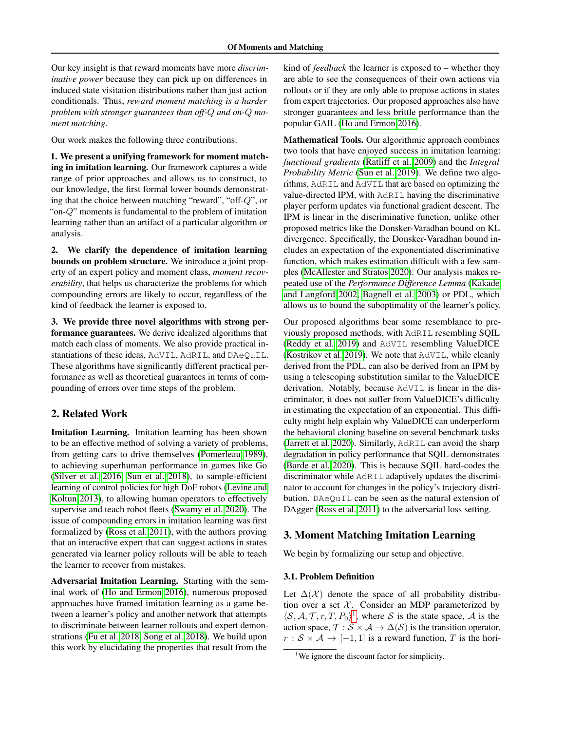Our key insight is that reward moments have more *discriminative power* because they can pick up on differences in induced state visitation distributions rather than just action conditionals. Thus, *reward moment matching is a harder problem with stronger guarantees than off-*Q *and on-*Q *moment matching*.

Our work makes the following three contributions:

1. We present a unifying framework for moment matching in imitation learning. Our framework captures a wide range of prior approaches and allows us to construct, to our knowledge, the first formal lower bounds demonstrating that the choice between matching "reward", "off-Q", or "on-Q" moments is fundamental to the problem of imitation learning rather than an artifact of a particular algorithm or analysis.

2. We clarify the dependence of imitation learning bounds on problem structure. We introduce a joint property of an expert policy and moment class, *moment recoverability*, that helps us characterize the problems for which compounding errors are likely to occur, regardless of the kind of feedback the learner is exposed to.

3. We provide three novel algorithms with strong performance guarantees. We derive idealized algorithms that match each class of moments. We also provide practical instantiations of these ideas, AdVIL, AdRIL, and DAeQuIL. These algorithms have significantly different practical performance as well as theoretical guarantees in terms of compounding of errors over time steps of the problem.

## 2. Related Work

Imitation Learning. Imitation learning has been shown to be an effective method of solving a variety of problems, from getting cars to drive themselves [\(Pomerleau 1989\)](#page-9-0), to achieving superhuman performance in games like Go [\(Silver et al. 2016,](#page-10-3) [Sun et al. 2018\)](#page-10-4), to sample-efficient learning of control policies for high DoF robots [\(Levine and](#page-9-8) [Koltun 2013\)](#page-9-8), to allowing human operators to effectively supervise and teach robot fleets [\(Swamy et al. 2020\)](#page-10-5). The issue of compounding errors in imitation learning was first formalized by [\(Ross et al. 2011\)](#page-10-6), with the authors proving that an interactive expert that can suggest actions in states generated via learner policy rollouts will be able to teach the learner to recover from mistakes.

Adversarial Imitation Learning. Starting with the seminal work of [\(Ho and Ermon 2016\)](#page-9-9), numerous proposed approaches have framed imitation learning as a game between a learner's policy and another network that attempts to discriminate between learner rollouts and expert demonstrations [\(Fu et al. 2018,](#page-9-10) [Song et al. 2018\)](#page-10-7). We build upon this work by elucidating the properties that result from the

kind of *feedback* the learner is exposed to – whether they are able to see the consequences of their own actions via rollouts or if they are only able to propose actions in states from expert trajectories. Our proposed approaches also have stronger guarantees and less brittle performance than the popular GAIL [\(Ho and Ermon 2016\)](#page-9-9).

Mathematical Tools. Our algorithmic approach combines two tools that have enjoyed success in imitation learning: *functional gradients* [\(Ratliff et al. 2009\)](#page-10-8) and the *Integral Probability Metric* [\(Sun et al. 2019\)](#page-10-2). We define two algorithms, AdRIL and AdVIL that are based on optimizing the value-directed IPM, with AdRIL having the discriminative player perform updates via functional gradient descent. The IPM is linear in the discriminative function, unlike other proposed metrics like the Donsker-Varadhan bound on KL divergence. Specifically, the Donsker-Varadhan bound includes an expectation of the exponentiated discriminative function, which makes estimation difficult with a few samples [\(McAllester and Stratos 2020\)](#page-9-11). Our analysis makes repeated use of the *Performance Difference Lemma* [\(Kakade](#page-9-12) [and Langford 2002,](#page-9-12) [Bagnell et al. 2003\)](#page-9-13) or PDL, which allows us to bound the suboptimality of the learner's policy.

Our proposed algorithms bear some resemblance to previously proposed methods, with AdRIL resembling SQIL [\(Reddy et al. 2019\)](#page-10-9) and AdVIL resembling ValueDICE [\(Kostrikov et al. 2019\)](#page-9-2). We note that AdVIL, while cleanly derived from the PDL, can also be derived from an IPM by using a telescoping substitution similar to the ValueDICE derivation. Notably, because AdVIL is linear in the discriminator, it does not suffer from ValueDICE's difficulty in estimating the expectation of an exponential. This difficulty might help explain why ValueDICE can underperform the behavioral cloning baseline on several benchmark tasks [\(Jarrett et al. 2020\)](#page-9-6). Similarly, AdRIL can avoid the sharp degradation in policy performance that SQIL demonstrates [\(Barde et al. 2020\)](#page-9-14). This is because SQIL hard-codes the discriminator while AdRIL adaptively updates the discriminator to account for changes in the policy's trajectory distribution. DAeQuIL can be seen as the natural extension of DAgger [\(Ross et al. 2011\)](#page-10-6) to the adversarial loss setting.

## 3. Moment Matching Imitation Learning

We begin by formalizing our setup and objective.

## 3.1. Problem Definition

Let  $\Delta(\mathcal{X})$  denote the space of all probability distribution over a set  $X$ . Consider an MDP parameterized by  $\langle S, A, T, r, T, P_0 \rangle^1$  $\langle S, A, T, r, T, P_0 \rangle^1$ , where S is the state space, A is the action space,  $\mathcal{T}: \mathcal{S} \times \mathcal{A} \rightarrow \Delta(\mathcal{S})$  is the transition operator,  $r : \mathcal{S} \times \mathcal{A} \rightarrow [-1, 1]$  is a reward function, T is the hori-

<span id="page-1-0"></span><sup>&</sup>lt;sup>1</sup>We ignore the discount factor for simplicity.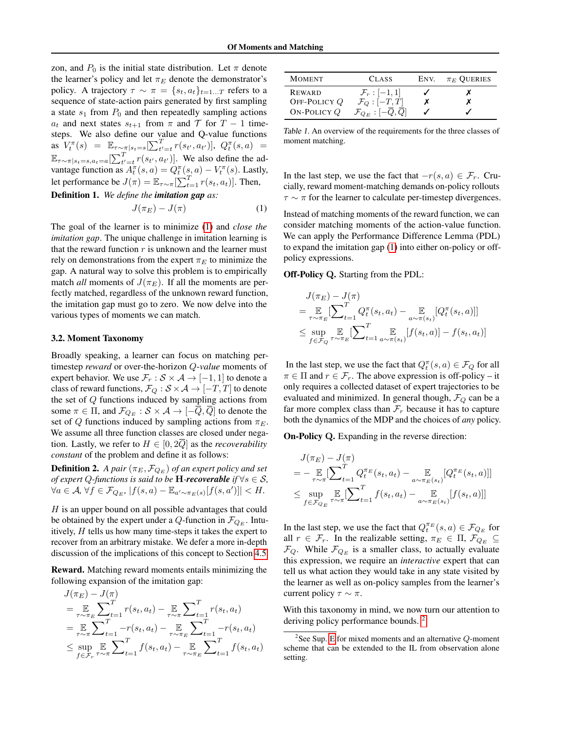zon, and  $P_0$  is the initial state distribution. Let  $\pi$  denote the learner's policy and let  $\pi_E$  denote the demonstrator's policy. A trajectory  $\tau \sim \pi = \{s_t, a_t\}_{t=1...T}$  refers to a sequence of state-action pairs generated by first sampling a state  $s_1$  from  $P_0$  and then repeatedly sampling actions  $a_t$  and next states  $s_{t+1}$  from  $\pi$  and  $\mathcal T$  for  $T-1$  timesteps. We also define our value and Q-value functions as  $V_t^{\pi}(s) = \mathbb{E}_{\tau \sim \pi | s_t = s} [\sum_{t'=t}^T r(s_{t'}, a_{t'})], Q_t^{\pi}(s, a) =$  $\mathbb{E}_{\tau \sim \pi | s_t = s, a_t = a}[\sum_{t'=t}^T r(s_{t'}, a_{t'})]$ . We also define the advantage function as  $A_t^{\pi}(s, a) = Q_t^{\pi}(s, a) - V_t^{\pi}(s)$ . Lastly, let performance be  $J(\pi) = \mathbb{E}_{\tau \sim \pi}[\sum_{t=1}^{T} r(s_t, a_t)].$  Then,

Definition 1. *We define the imitation gap as:*

<span id="page-2-0"></span>
$$
J(\pi_E) - J(\pi) \tag{1}
$$

The goal of the learner is to minimize [\(1\)](#page-2-0) and *close the imitation gap*. The unique challenge in imitation learning is that the reward function  $r$  is unknown and the learner must rely on demonstrations from the expert  $\pi_E$  to minimize the gap. A natural way to solve this problem is to empirically match *all* moments of  $J(\pi_E)$ . If all the moments are perfectly matched, regardless of the unknown reward function, the imitation gap must go to zero. We now delve into the various types of moments we can match.

#### 3.2. Moment Taxonomy

Broadly speaking, a learner can focus on matching pertimestep *reward* or over-the-horizon Q-*value* moments of expert behavior. We use  $\mathcal{F}_r : \mathcal{S} \times \mathcal{A} \to [-1, 1]$  to denote a class of reward functions,  $\mathcal{F}_Q : \mathcal{S} \times \mathcal{A} \to [-T, T]$  to denote the set of Q functions induced by sampling actions from some  $\pi \in \Pi$ , and  $\mathcal{F}_{Q_E} : \mathcal{S} \times \mathcal{A} \to [-\overline{Q}, \overline{Q}]$  to denote the set of Q functions induced by sampling actions from  $\pi_E$ . We assume all three function classes are closed under negation. Lastly, we refer to  $H \in [0, 2Q]$  as the *recoverability constant* of the problem and define it as follows:

**Definition 2.** *A pair*  $(\pi_E, \mathcal{F}_{Q_E})$  *of an expert policy and set of expert*  $Q$ -functions is said to be **H**-*recoverable* if  $\forall s \in \mathcal{S}$ *,*  $\forall a \in \mathcal{A}, \forall f \in \mathcal{F}_{Q_E}, |f(s, a) - \mathbb{E}_{a' \sim \pi_E(s)}[f(s, a')]| < H.$ 

 $H$  is an upper bound on all possible advantages that could be obtained by the expert under a Q-function in  $\mathcal{F}_{Q_E}$ . Intuitively,  $H$  tells us how many time-steps it takes the expert to recover from an arbitrary mistake. We defer a more in-depth discussion of the implications of this concept to Section [4.5.](#page-5-0)

Reward. Matching reward moments entails minimizing the following expansion of the imitation gap:

$$
J(\pi_E) - J(\pi)
$$
  
=  $\underset{\tau \sim \pi_E}{\mathbb{E}} \sum_{t=1}^{T} r(s_t, a_t) - \underset{\tau \sim \pi}{\mathbb{E}} \sum_{t=1}^{T} r(s_t, a_t)$   
=  $\underset{\tau \sim \pi}{\mathbb{E}} \sum_{t=1}^{T} -r(s_t, a_t) - \underset{\tau \sim \pi_E}{\mathbb{E}} \sum_{t=1}^{T} -r(s_t, a_t)$   
 $\leq \underset{f \in \mathcal{F}_{\tau}}{\sup} \underset{\tau \sim \pi}{\mathbb{E}} \sum_{t=1}^{T} f(s_t, a_t) - \underset{\tau \sim \pi_E}{\mathbb{E}} \sum_{t=1}^{T} f(s_t, a_t)$ 

| <b>MOMENT</b>                 | <b>CLASS</b>                                                             | ENV. | $\pi_E$ OUERIES |
|-------------------------------|--------------------------------------------------------------------------|------|-----------------|
| <b>REWARD</b>                 | $\mathcal{F}_r: [-1,1]$                                                  |      |                 |
| OFF-POLICY Q<br>ON-POLICY $Q$ | $\mathcal{F}_Q: [-T,T]$<br>${\cal F}_{Q_E}:[-\overline{Q},\overline{Q}]$ |      |                 |

Table 1. An overview of the requirements for the three classes of moment matching.

In the last step, we use the fact that  $-r(s, a) \in \mathcal{F}_r$ . Crucially, reward moment-matching demands on-policy rollouts  $\tau \sim \pi$  for the learner to calculate per-timestep divergences.

Instead of matching moments of the reward function, we can consider matching moments of the action-value function. We can apply the Performance Difference Lemma (PDL) to expand the imitation gap [\(1\)](#page-2-0) into either on-policy or offpolicy expressions.

Off-Policy Q. Starting from the PDL:

$$
J(\pi_E) - J(\pi)
$$
  
=  $\underset{\tau \sim \pi_E}{\mathbb{E}} \left[ \sum_{t=1}^T Q_t^{\pi}(s_t, a_t) - \underset{a \sim \pi(s_t)}{\mathbb{E}} [Q_t^{\pi}(s_t, a)] \right]$   
 $\leq \underset{f \in \mathcal{F}_Q}{\sup} \mathbb{E} \left[ \sum_{t=1}^T \underset{a \sim \pi(s_t)}{\mathbb{E}} [f(s_t, a)] - f(s_t, a_t) \right]$ 

In the last step, we use the fact that  $Q_t^{\pi}(s, a) \in \mathcal{F}_Q$  for all  $\pi \in \Pi$  and  $r \in \mathcal{F}_r$ . The above expression is off-policy – it only requires a collected dataset of expert trajectories to be evaluated and minimized. In general though,  $\mathcal{F}_Q$  can be a far more complex class than  $\mathcal{F}_r$  because it has to capture both the dynamics of the MDP and the choices of *any* policy.

On-Policy Q. Expanding in the reverse direction:

$$
J(\pi_E) - J(\pi)
$$
  
=  $-\mathop{\mathbb{E}}_{\tau \sim \pi} [\sum_{t=1}^T Q_t^{\pi_E}(s_t, a_t) - \mathop{\mathbb{E}}_{a \sim \pi_E(s_t)}[Q_t^{\pi_E}(s_t, a)]]$   
 $\leq \sup_{f \in \mathcal{F}_{Q_E}} \mathop{\mathbb{E}}_{\tau \sim \pi} [\sum_{t=1}^T f(s_t, a_t) - \mathop{\mathbb{E}}_{a \sim \pi_E(s_t)}[f(s_t, a)]]$ 

In the last step, we use the fact that  $Q_t^{\pi_E}(s, a) \in \mathcal{F}_{Q_E}$  for all  $r \in \mathcal{F}_r$ . In the realizable setting,  $\pi_E \in \Pi$ ,  $\mathcal{F}_{Q_E} \subseteq$  $\mathcal{F}_Q$ . While  $\mathcal{F}_{Q_E}$  is a smaller class, to actually evaluate this expression, we require an *interactive* expert that can tell us what action they would take in any state visited by the learner as well as on-policy samples from the learner's current policy  $\tau \sim \pi$ .

With this taxonomy in mind, we now turn our attention to deriving policy performance bounds. [2](#page-2-1)

<span id="page-2-1"></span><sup>&</sup>lt;sup>2</sup>See Sup. [E](#page-16-0) for mixed moments and an alternative  $Q$ -moment scheme that can be extended to the IL from observation alone setting.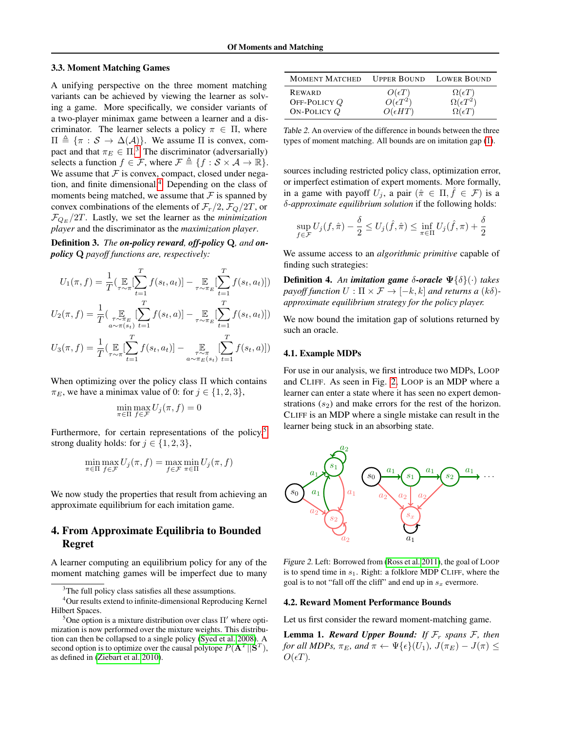### 3.3. Moment Matching Games

A unifying perspective on the three moment matching variants can be achieved by viewing the learner as solving a game. More specifically, we consider variants of a two-player minimax game between a learner and a discriminator. The learner selects a policy  $\pi \in \Pi$ , where  $\Pi \triangleq {\pi : \mathcal{S} \to \Delta(\mathcal{A})}.$  We assume  $\Pi$  is convex, compact and that  $\pi_E \in \Pi$ .<sup>[3](#page-3-0)</sup> The discriminator (adversarially) selects a function  $f \in \mathcal{F}$ , where  $\mathcal{F} \triangleq \{f : \mathcal{S} \times \mathcal{A} \to \mathbb{R}\}.$ We assume that  $F$  is convex, compact, closed under negation, and finite dimensional.[4](#page-3-1) Depending on the class of moments being matched, we assume that  $\mathcal F$  is spanned by convex combinations of the elements of  $\mathcal{F}_r/2$ ,  $\mathcal{F}_Q/2T$ , or  $\mathcal{F}_{Q_E}/2T$ . Lastly, we set the learner as the *minimization player* and the discriminator as the *maximization player*.

Definition 3. *The on-policy reward, off-policy* Q*, and onpolicy* Q *payoff functions are, respectively:*

$$
U_1(\pi, f) = \frac{1}{T} \left( \mathop{\mathbb{E}}_{\tau \sim \pi} \Big[ \sum_{t=1}^T f(s_t, a_t) \Big] - \mathop{\mathbb{E}}_{\tau \sim \pi_E} \Big[ \sum_{t=1}^T f(s_t, a_t) \Big] \right)
$$
  

$$
U_2(\pi, f) = \frac{1}{T} \left( \mathop{\mathbb{E}}_{a \sim \pi(s_t)} \Big[ \sum_{t=1}^T f(s_t, a_t) \Big] - \mathop{\mathbb{E}}_{\tau \sim \pi_E} \Big[ \sum_{t=1}^T f(s_t, a_t) \Big] \right)
$$
  

$$
U_3(\pi, f) = \frac{1}{T} \left( \mathop{\mathbb{E}}_{\tau \sim \pi} \Big[ \sum_{t=1}^T f(s_t, a_t) \Big] - \mathop{\mathbb{E}}_{a \sim \pi_E(s_t)} \Big[ \sum_{t=1}^T f(s_t, a_t) \Big] \right)
$$

When optimizing over the policy class  $\Pi$  which contains  $\pi_E$ , we have a minimax value of 0: for  $j \in \{1, 2, 3\}$ ,

$$
\min_{\pi \in \Pi} \max_{f \in \mathcal{F}} U_j(\pi, f) = 0
$$

Furthermore, for certain representations of the policy, $5$ strong duality holds: for  $j \in \{1, 2, 3\}$ ,

$$
\min_{\pi \in \Pi} \max_{f \in \mathcal{F}} U_j(\pi, f) = \max_{f \in \mathcal{F}} \min_{\pi \in \Pi} U_j(\pi, f)
$$

We now study the properties that result from achieving an approximate equilibrium for each imitation game.

## 4. From Approximate Equilibria to Bounded Regret

A learner computing an equilibrium policy for any of the moment matching games will be imperfect due to many

| <b>MOMENT MATCHED</b>           |                                      | <b>UPPER BOUND LOWER BOUND</b>                    |
|---------------------------------|--------------------------------------|---------------------------------------------------|
| <b>REWARD</b><br>OFF-POLICY $Q$ | $O(\epsilon T)$<br>$O(\epsilon T^2)$ | $\frac{\Omega(\epsilon T)}{\Omega(\epsilon T^2)}$ |
| ON-POLICY $Q$                   | $O(\epsilon HT)$                     | $\Omega(\epsilon T)$                              |

Table 2. An overview of the difference in bounds between the three types of moment matching. All bounds are on imitation gap [\(1\)](#page-2-0).

sources including restricted policy class, optimization error, or imperfect estimation of expert moments. More formally, in a game with payoff  $U_j$ , a pair  $(\hat{\pi} \in \Pi, \hat{f} \in \mathcal{F})$  is a δ*-approximate equilibrium solution* if the following holds:

$$
\sup_{f \in \mathcal{F}} U_j(f, \hat{\pi}) - \frac{\delta}{2} \le U_j(\hat{f}, \hat{\pi}) \le \inf_{\pi \in \Pi} U_j(\hat{f}, \pi) + \frac{\delta}{2}
$$

We assume access to an *algorithmic primitive* capable of finding such strategies:

<span id="page-3-4"></span>Definition 4. *An imitation game* δ*-oracle* Ψ{δ}(·) *takes payoff function*  $U : \Pi \times \mathcal{F} \rightarrow [-k, k]$  *and returns a*  $(k\delta)$ *approximate equilibrium strategy for the policy player.*

We now bound the imitation gap of solutions returned by such an oracle.

#### 4.1. Example MDPs

For use in our analysis, we first introduce two MDPs, LOOP and CLIFF. As seen in Fig. [2,](#page-3-3) LOOP is an MDP where a learner can enter a state where it has seen no expert demonstrations  $(s_2)$  and make errors for the rest of the horizon. CLIFF is an MDP where a single mistake can result in the learner being stuck in an absorbing state.

<span id="page-3-3"></span>

Figure 2. Left: Borrowed from [\(Ross et al. 2011\)](#page-10-6), the goal of LOOP is to spend time in  $s_1$ . Right: a folklore MDP CLIFF, where the goal is to not "fall off the cliff" and end up in  $s_x$  evermore.

#### 4.2. Reward Moment Performance Bounds

Let us first consider the reward moment-matching game.

**Lemma 1.** *Reward Upper Bound:* If  $\mathcal{F}_r$  *spans*  $\mathcal{F}_r$  *then for all MDPs,*  $\pi_E$ *, and*  $\pi \leftarrow \Psi\{\epsilon\}(U_1)$ *,*  $J(\pi_E) - J(\pi) \leq$  $O(\epsilon T)$ .

<span id="page-3-1"></span><span id="page-3-0"></span><sup>&</sup>lt;sup>3</sup>The full policy class satisfies all these assumptions.

<sup>4</sup>Our results extend to infinite-dimensional Reproducing Kernel Hilbert Spaces.

<span id="page-3-2"></span><sup>&</sup>lt;sup>5</sup>One option is a mixture distribution over class  $\Pi'$  where optimization is now performed over the mixture weights. This distribution can then be collapsed to a single policy [\(Syed et al. 2008\)](#page-10-10). A second option is to optimize over the causal polytope  $P(A^T||S^T)$ , as defined in [\(Ziebart et al. 2010\)](#page-10-11).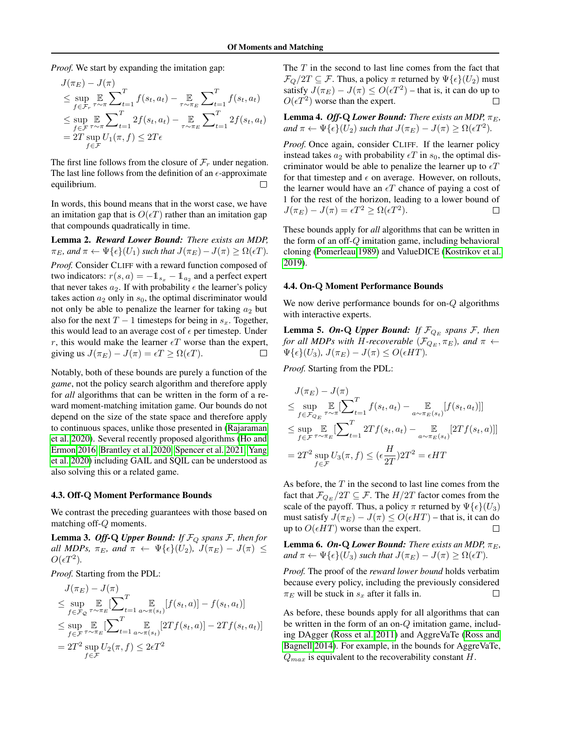*Proof.* We start by expanding the imitation gap:

$$
J(\pi_E) - J(\pi)
$$
  
\n
$$
\leq \sup_{f \in \mathcal{F}_r} \mathbb{E} \sum_{\tau \sim \pi}^T f(s_t, a_t) - \mathbb{E} \sum_{\tau \sim \pi_E}^T \sum_{t=1}^T f(s_t, a_t)
$$
  
\n
$$
\leq \sup_{f \in \mathcal{F}} \mathbb{E} \sum_{\tau \sim \pi}^T 2f(s_t, a_t) - \mathbb{E} \sum_{\tau \sim \pi_E}^T \sum_{t=1}^T 2f(s_t, a_t)
$$
  
\n
$$
= 2T \sup_{f \in \mathcal{F}} U_1(\pi, f) \leq 2T\epsilon
$$

The first line follows from the closure of  $\mathcal{F}_r$  under negation. The last line follows from the definition of an  $\epsilon$ -approximate equilibrium.

In words, this bound means that in the worst case, we have an imitation gap that is  $O(\epsilon T)$  rather than an imitation gap that compounds quadratically in time.

Lemma 2. *Reward Lower Bound: There exists an MDP,*  $\pi_E$ *, and*  $\pi \leftarrow \Psi\{\epsilon\}(U_1)$  *such that*  $J(\pi_E) - J(\pi) \ge \Omega(\epsilon T)$ *. Proof.* Consider CLIFF with a reward function composed of two indicators:  $r(s, a) = -\mathbb{1}_{s_x} - \mathbb{1}_{a_2}$  and a perfect expert that never takes  $a_2$ . If with probability  $\epsilon$  the learner's policy takes action  $a_2$  only in  $s_0$ , the optimal discriminator would not only be able to penalize the learner for taking  $a_2$  but also for the next  $T - 1$  timesteps for being in  $s_x$ . Together, this would lead to an average cost of  $\epsilon$  per timestep. Under r, this would make the learner  $\epsilon T$  worse than the expert, giving us  $J(\pi_E) - J(\pi) = \epsilon T \ge \Omega(\epsilon T)$ . П

Notably, both of these bounds are purely a function of the *game*, not the policy search algorithm and therefore apply for *all* algorithms that can be written in the form of a reward moment-matching imitation game. Our bounds do not depend on the size of the state space and therefore apply to continuous spaces, unlike those presented in [\(Rajaraman](#page-10-12) [et al. 2020\)](#page-10-12). Several recently proposed algorithms [\(Ho and](#page-9-9) [Ermon 2016,](#page-9-9) [Brantley et al. 2020,](#page-9-15) [Spencer et al. 2021,](#page-10-13) [Yang](#page-10-14) [et al. 2020\)](#page-10-14) including GAIL and SQIL can be understood as also solving this or a related game.

#### 4.3. Off-Q Moment Performance Bounds

We contrast the preceding guarantees with those based on matching off-Q moments.

**Lemma 3. Off-Q** *Upper Bound:* If  $\mathcal{F}_Q$  *spans*  $\mathcal{F}$ *, then for all MDPs,*  $\pi_E$ *, and*  $\pi \leftarrow \Psi\{\epsilon\}(U_2)$ *,*  $J(\pi_E) - J(\pi) \leq$  $O(\epsilon T^2)$ .

*Proof.* Starting from the PDL:

$$
J(\pi_E) - J(\pi)
$$
  
\n
$$
\leq \sup_{f \in \mathcal{F}_Q} \mathop{\mathbb{E}}_{\tau \sim \pi_E} [\sum_{t=1}^T \mathop{\mathbb{E}}_{a \sim \pi(s_t)} [f(s_t, a)] - f(s_t, a_t)]
$$
  
\n
$$
\leq \sup_{f \in \mathcal{F}} \mathop{\mathbb{E}}_{\tau \sim \pi_E} [\sum_{t=1}^T \mathop{\mathbb{E}}_{a \sim \pi(s_t)} [2Tf(s_t, a)] - 2Tf(s_t, a_t)]
$$
  
\n
$$
= 2T^2 \sup_{f \in \mathcal{F}} U_2(\pi, f) \leq 2\epsilon T^2
$$

The  $T$  in the second to last line comes from the fact that  $\mathcal{F}_Q/2T \subseteq \mathcal{F}$ . Thus, a policy  $\pi$  returned by  $\Psi\{\epsilon\}(U_2)$  must satisfy  $J(\pi_E) - J(\pi) \leq O(\epsilon T^2)$  – that is, it can do up to  $O(\epsilon T^2)$  worse than the expert.  $\Box$ 

**Lemma 4.** *Off-Q Lower Bound: There exists an MDP,* $\pi_E$ **,** *and*  $\pi \leftarrow \Psi\{\epsilon\}(U_2)$  *such that*  $J(\pi_E) - J(\pi) \ge \Omega(\epsilon T^2)$ *.* 

*Proof.* Once again, consider CLIFF. If the learner policy instead takes  $a_2$  with probability  $\epsilon T$  in  $s_0$ , the optimal discriminator would be able to penalize the learner up to  $\epsilon T$ for that timestep and  $\epsilon$  on average. However, on rollouts, the learner would have an  $\epsilon T$  chance of paying a cost of 1 for the rest of the horizon, leading to a lower bound of  $J(\pi_E) - J(\pi) = \epsilon T^2 \ge \Omega(\epsilon T^2).$  $\Box$ 

These bounds apply for *all* algorithms that can be written in the form of an off-Q imitation game, including behavioral cloning [\(Pomerleau 1989\)](#page-9-0) and ValueDICE [\(Kostrikov et al.](#page-9-2) [2019\)](#page-9-2).

#### 4.4. On-Q Moment Performance Bounds

We now derive performance bounds for on-Q algorithms with interactive experts.

**Lemma 5. On-Q** *Upper Bound:* If  $\mathcal{F}_{Q_E}$  spans  $\mathcal{F}$ , then *for all MDPs with H-recoverable*  $(\mathcal{F}_{Q_E}, \pi_E)$ *, and*  $\pi \leftarrow$  $\Psi\{\epsilon\}(U_3)$ ,  $J(\pi_E) - J(\pi) \leq O(\epsilon HT)$ .

*Proof.* Starting from the PDL:

$$
J(\pi_E) - J(\pi)
$$
  
\n
$$
\leq \sup_{f \in \mathcal{F}_{Q_E}} \mathbb{E}_{\tau \sim \pi} \left[ \sum_{t=1}^T f(s_t, a_t) - \mathbb{E}_{a \sim \pi_E(s_t)} [f(s_t, a_t)] \right]
$$
  
\n
$$
\leq \sup_{f \in \mathcal{F}} \mathbb{E}_{\tau \sim \pi_E} \left[ \sum_{t=1}^T 2Tf(s_t, a_t) - \mathbb{E}_{a \sim \pi_E(s_t)} [2Tf(s_t, a)] \right]
$$
  
\n
$$
= 2T^2 \sup_{f \in \mathcal{F}} U_3(\pi, f) \leq (\epsilon \frac{H}{2T}) 2T^2 = \epsilon HT
$$

As before, the  $T$  in the second to last line comes from the fact that  $\mathcal{F}_{Q_E}/2T \subseteq \mathcal{F}$ . The  $H/2T$  factor comes from the scale of the payoff. Thus, a policy  $\pi$  returned by  $\Psi\{\epsilon\}(U_3)$ must satisfy  $J(\pi_E) - J(\pi) \le O(\epsilon HT)$  – that is, it can do up to  $O(\epsilon HT)$  worse than the expert. up to  $O(\epsilon HT)$  worse than the expert.

**Lemma 6. On-Q Lower Bound:** There exists an MDP,  $\pi_F$ , *and*  $\pi \leftarrow \Psi\{\epsilon\}(U_3)$  *such that*  $J(\pi_E) - J(\pi) \ge \Omega(\epsilon T)$ *.* 

*Proof.* The proof of the *reward lower bound* holds verbatim because every policy, including the previously considered  $\pi_E$  will be stuck in  $s_x$  after it falls in. П

As before, these bounds apply for all algorithms that can be written in the form of an on- $Q$  imitation game, including DAgger [\(Ross et al. 2011\)](#page-10-6) and AggreVaTe [\(Ross and](#page-10-15) [Bagnell 2014\)](#page-10-15). For example, in the bounds for AggreVaTe,  $Q_{max}$  is equivalent to the recoverability constant H.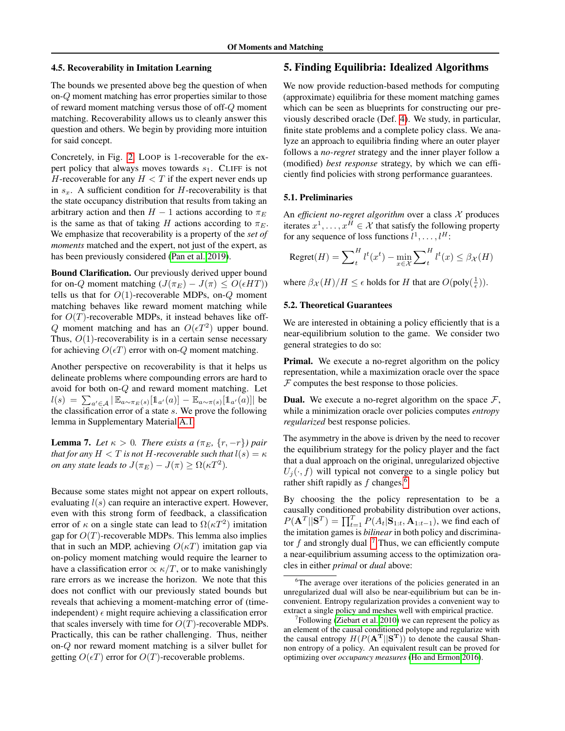#### <span id="page-5-0"></span>4.5. Recoverability in Imitation Learning

The bounds we presented above beg the question of when on-Q moment matching has error properties similar to those of reward moment matching versus those of off-Q moment matching. Recoverability allows us to cleanly answer this question and others. We begin by providing more intuition for said concept.

Concretely, in Fig. [2,](#page-3-3) LOOP is 1-recoverable for the expert policy that always moves towards  $s_1$ . CLIFF is not H-recoverable for any  $H < T$  if the expert never ends up in  $s_x$ . A sufficient condition for H-recoverability is that the state occupancy distribution that results from taking an arbitrary action and then  $H - 1$  actions according to  $\pi_E$ is the same as that of taking H actions according to  $\pi_E$ . We emphasize that recoverability is a property of the *set of moments* matched and the expert, not just of the expert, as has been previously considered [\(Pan et al. 2019\)](#page-9-16).

Bound Clarification. Our previously derived upper bound for on-Q moment matching  $(J(\pi_E) - J(\pi) \leq O(\epsilon HT))$ tells us that for  $O(1)$ -recoverable MDPs, on- $Q$  moment matching behaves like reward moment matching while for  $O(T)$ -recoverable MDPs, it instead behaves like off-Q moment matching and has an  $O(\epsilon T^2)$  upper bound. Thus,  $O(1)$ -recoverability is in a certain sense necessary for achieving  $O(\epsilon T)$  error with on-Q moment matching.

Another perspective on recoverability is that it helps us delineate problems where compounding errors are hard to avoid for both on-Q and reward moment matching. Let  $l(s) = \sum_{a' \in \mathcal{A}} |\mathbb{E}_{a \sim \pi_E(s)}[\mathbb{1}_{a'}(a)] - \mathbb{E}_{a \sim \pi(s)}[\mathbb{1}_{a'}(a)]|$  be the classification error of a state s. We prove the following lemma in Supplementary Material [A.1:](#page-11-0)

<span id="page-5-4"></span>**Lemma 7.** *Let*  $\kappa > 0$ *. There exists a* ( $\pi_E$ , {r, -r}*)* pair *that for any*  $H < T$  *is not*  $H$ *-recoverable such that*  $l(s) = \kappa$ *on any state leads to*  $J(\pi_E) - J(\pi) \ge \Omega(\kappa T^2)$ *.* 

Because some states might not appear on expert rollouts, evaluating  $l(s)$  can require an interactive expert. However, even with this strong form of feedback, a classification error of  $\kappa$  on a single state can lead to  $\Omega(\kappa T^2)$  imitation gap for  $O(T)$ -recoverable MDPs. This lemma also implies that in such an MDP, achieving  $O(\kappa T)$  imitation gap via on-policy moment matching would require the learner to have a classification error  $\propto \kappa/T$ , or to make vanishingly rare errors as we increase the horizon. We note that this does not conflict with our previously stated bounds but reveals that achieving a moment-matching error of (timeindependent)  $\epsilon$  might require achieving a classification error that scales inversely with time for  $O(T)$ -recoverable MDPs. Practically, this can be rather challenging. Thus, neither on-Q nor reward moment matching is a silver bullet for getting  $O(\epsilon T)$  error for  $O(T)$ -recoverable problems.

## <span id="page-5-3"></span>5. Finding Equilibria: Idealized Algorithms

We now provide reduction-based methods for computing (approximate) equilibria for these moment matching games which can be seen as blueprints for constructing our previously described oracle (Def. [4\)](#page-3-4). We study, in particular, finite state problems and a complete policy class. We analyze an approach to equilibria finding where an outer player follows a *no-regret* strategy and the inner player follow a (modified) *best response* strategy, by which we can efficiently find policies with strong performance guarantees.

#### 5.1. Preliminaries

An *efficient no-regret algorithm* over a class  $X$  produces iterates  $x^1, \dots, x^H \in \mathcal{X}$  that satisfy the following property for any sequence of loss functions  $l^1, \ldots, l^H$ :

$$
\text{Regret}(H) = \sum_{t}^{H} l^t(x^t) - \min_{x \in \mathcal{X}} \sum_{t}^{H} l^t(x) \le \beta_{\mathcal{X}}(H)
$$

where  $\beta_{\mathcal{X}}(H)/H \leq \epsilon$  holds for H that are  $O(\text{poly}(\frac{1}{\epsilon}))$ .

## 5.2. Theoretical Guarantees

We are interested in obtaining a policy efficiently that is a near-equilibrium solution to the game. We consider two general strategies to do so:

Primal. We execute a no-regret algorithm on the policy representation, while a maximization oracle over the space  $F$  computes the best response to those policies.

**Dual.** We execute a no-regret algorithm on the space  $\mathcal{F}$ , while a minimization oracle over policies computes *entropy regularized* best response policies.

The asymmetry in the above is driven by the need to recover the equilibrium strategy for the policy player and the fact that a dual approach on the original, unregularized objective  $U_i(\cdot, f)$  will typical not converge to a single policy but rather shift rapidly as  $f$  changes.<sup>[6](#page-5-1)</sup>

By choosing the the policy representation to be a causally conditioned probability distribution over actions,  $P(\mathbf{A}^T || \mathbf{S}^T) = \prod_{t=1}^T P(A_t | \mathbf{S}_{1:t}, \mathbf{A}_{1:t-1})$ , we find each of the imitation games is *bilinear* in both policy and discriminator  $f$  and strongly dual  $\cdot$ .<sup>[7](#page-5-2)</sup> Thus, we can efficiently compute a near-equilibrium assuming access to the optimization oracles in either *primal* or *dual* above:

<span id="page-5-1"></span><sup>&</sup>lt;sup>6</sup>The average over iterations of the policies generated in an unregularized dual will also be near-equilibrium but can be inconvenient. Entropy regularization provides a convenient way to extract a single policy and meshes well with empirical practice.

<span id="page-5-2"></span> $7$ Following [\(Ziebart et al. 2010\)](#page-10-11) we can represent the policy as an element of the causal conditioned polytope and regularize with the causal entropy  $H(P(A^T||S^T))$  to denote the causal Shannon entropy of a policy. An equivalent result can be proved for optimizing over *occupancy measures* [\(Ho and Ermon 2016\)](#page-9-9).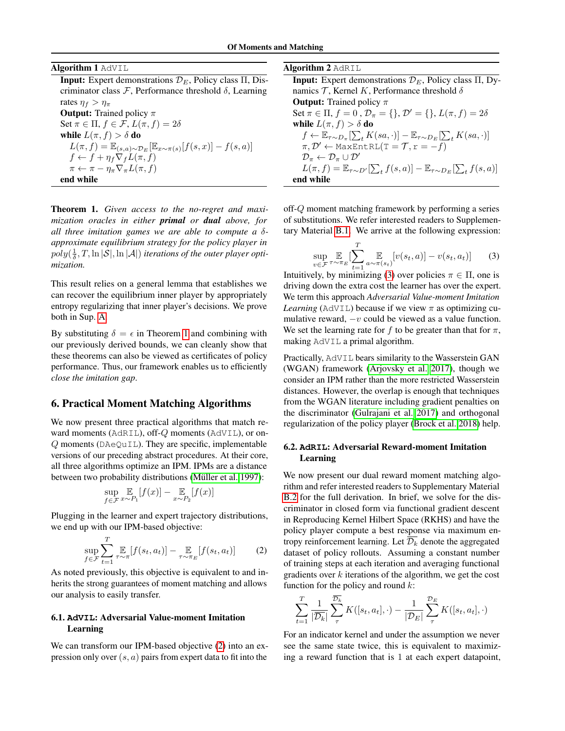| <b>Algorithm 1 AdVIL</b> |  |  |  |
|--------------------------|--|--|--|
|--------------------------|--|--|--|

**Input:** Expert demonstrations  $\mathcal{D}_E$ , Policy class  $\Pi$ , Discriminator class  $F$ , Performance threshold  $\delta$ , Learning rates  $\eta_f > \eta_\pi$ **Output:** Trained policy  $\pi$ Set  $\pi \in \Pi$ ,  $f \in \mathcal{F}$ ,  $L(\pi, f) = 2\delta$ while  $L(\pi, f) > \delta$  do  $L(\pi, f) = \mathbb{E}_{(s,a)\sim \mathcal{D}_E}[\mathbb{E}_{x\sim \pi(s)}[f(s,x)] - f(s,a)]$ 

 $f \leftarrow f + \eta_f \nabla_f L(\pi, f)$  $\pi \leftarrow \pi - \eta_{\pi} \nabla_{\pi} L(\pi, f)$ end while

<span id="page-6-0"></span>Theorem 1. *Given access to the no-regret and maximization oracles in either primal or dual above, for all three imitation games we are able to compute a* δ*approximate equilibrium strategy for the policy player in*  $poly(\frac{1}{\delta},T,\ln |\mathcal{S}|,\ln |\mathcal{A}|)$  *iterations of the outer player optimization.*

This result relies on a general lemma that establishes we can recover the equilibrium inner player by appropriately entropy regularizing that inner player's decisions. We prove both in Sup. [A.](#page-11-1)

By substituting  $\delta = \epsilon$  in Theorem [1](#page-6-0) and combining with our previously derived bounds, we can cleanly show that these theorems can also be viewed as certificates of policy performance. Thus, our framework enables us to efficiently *close the imitation gap*.

## 6. Practical Moment Matching Algorithms

We now present three practical algorithms that match reward moments (AdRIL), off-Q moments (AdVIL), or on- $Q$  moments (DAeQuIL). They are specific, implementable versions of our preceding abstract procedures. At their core, all three algorithms optimize an IPM. IPMs are a distance between two probability distributions (Müller et al. 1997):

$$
\sup_{f \in \mathcal{F}} \mathop{\mathbb{E}}_{x \sim P_1} [f(x)] - \mathop{\mathbb{E}}_{x \sim P_2} [f(x)]
$$

Plugging in the learner and expert trajectory distributions, we end up with our IPM-based objective:

<span id="page-6-1"></span>
$$
\sup_{f \in \mathcal{F}} \sum_{t=1}^{T} \mathbb{E}_{\tau \sim \pi} [f(s_t, a_t)] - \mathbb{E}_{\tau \sim \pi_E} [f(s_t, a_t)] \tag{2}
$$

As noted previously, this objective is equivalent to and inherits the strong guarantees of moment matching and allows our analysis to easily transfer.

## 6.1. **AdVIL**: Adversarial Value-moment Imitation Learning

We can transform our IPM-based objective [\(2\)](#page-6-1) into an expression only over  $(s, a)$  pairs from expert data to fit into the

| <b>Algorithm 2 AdRIL</b> |  |  |
|--------------------------|--|--|
|--------------------------|--|--|

**Input:** Expert demonstrations  $\mathcal{D}_E$ , Policy class  $\Pi$ , Dynamics  $\mathcal T$ , Kernel K, Performance threshold  $\delta$ **Output:** Trained policy  $\pi$ Set  $\pi \in \Pi$ ,  $f = 0$ ,  $\mathcal{D}_{\pi} = \{\}, \mathcal{D}' = \{\}, L(\pi, f) = 2\delta$ while  $L(\pi, f) > \delta$  do  $f \leftarrow \mathbb{E}_{\tau \sim D_{\pi}}[\sum_{t} K(sa, \cdot)] - \mathbb{E}_{\tau \sim D_{E}}[\sum_{t} K(sa, \cdot)]$  $\pi, \mathcal{D}' \leftarrow \text{MaxEntRL}(T = \mathcal{T}, r = -f)$  $\mathcal{D}_{\pi} \leftarrow \mathcal{D}_{\pi} \cup \mathcal{D}'$  $L(\pi, f) = \mathbb{E}_{\tau \sim D'}[\sum_t f(s, a)] - \mathbb{E}_{\tau \sim D_E}[\sum_t f(s, a)]$ end while

off-Q moment matching framework by performing a series of substitutions. We refer interested readers to Supplementary Material [B.1.](#page-13-0) We arrive at the following expression:

<span id="page-6-2"></span>
$$
\sup_{v \in \mathcal{F}} \mathop{\mathbb{E}}_{\tau \sim \pi_E} \left[ \sum_{t=1}^T \mathop{\mathbb{E}}_{a \sim \pi(s_t)} [v(s_t, a)] - v(s_t, a_t) \right]
$$
(3)

Intuitively, by minimizing [\(3\)](#page-6-2) over policies  $\pi \in \Pi$ , one is driving down the extra cost the learner has over the expert. We term this approach *Adversarial Value-moment Imitation Learning* ( $AdVIL$ ) because if we view  $\pi$  as optimizing cumulative reward,  $-v$  could be viewed as a value function. We set the learning rate for f to be greater than that for  $\pi$ , making AdVIL a primal algorithm.

Practically, AdVIL bears similarity to the Wasserstein GAN (WGAN) framework [\(Arjovsky et al. 2017\)](#page-9-18), though we consider an IPM rather than the more restricted Wasserstein distances. However, the overlap is enough that techniques from the WGAN literature including gradient penalties on the discriminator [\(Gulrajani et al. 2017\)](#page-9-19) and orthogonal regularization of the policy player [\(Brock et al. 2018\)](#page-9-20) help.

## 6.2. **AdRIL**: Adversarial Reward-moment Imitation Learning

We now present our dual reward moment matching algorithm and refer interested readers to Supplementary Material [B.2](#page-13-1) for the full derivation. In brief, we solve for the discriminator in closed form via functional gradient descent in Reproducing Kernel Hilbert Space (RKHS) and have the policy player compute a best response via maximum entropy reinforcement learning. Let  $\mathcal{D}_k$  denote the aggregated dataset of policy rollouts. Assuming a constant number of training steps at each iteration and averaging functional gradients over  $k$  iterations of the algorithm, we get the cost function for the policy and round  $k$ :

$$
\sum_{t=1}^T \frac{1}{|\overline{\mathcal{D}_k}|} \sum_{\tau}^{\overline{\mathcal{D}_k}} K([s_t, a_t], \cdot) - \frac{1}{|\mathcal{D}_E|} \sum_{\tau}^{\mathcal{D}_E} K([s_t, a_t], \cdot)
$$

For an indicator kernel and under the assumption we never see the same state twice, this is equivalent to maximizing a reward function that is 1 at each expert datapoint,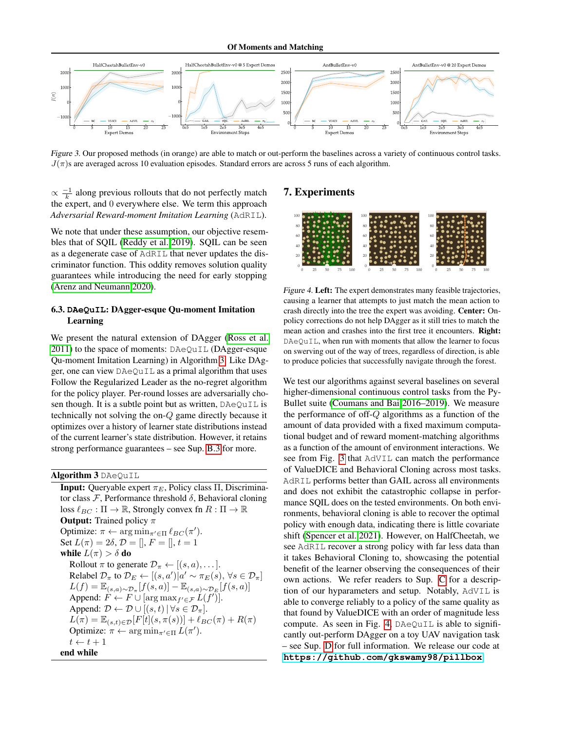<span id="page-7-1"></span>

Figure 3. Our proposed methods (in orange) are able to match or out-perform the baselines across a variety of continuous control tasks.  $J(\pi)$ s are averaged across 10 evaluation episodes. Standard errors are across 5 runs of each algorithm.

 $\propto \frac{-1}{k}$  along previous rollouts that do not perfectly match the expert, and 0 everywhere else. We term this approach *Adversarial Reward-moment Imitation Learning* (AdRIL).

We note that under these assumption, our objective resembles that of SQIL [\(Reddy et al. 2019\)](#page-10-9). SQIL can be seen as a degenerate case of AdRIL that never updates the discriminator function. This oddity removes solution quality guarantees while introducing the need for early stopping [\(Arenz and Neumann 2020\)](#page-9-21).

## 6.3. **DAeQuIL**: DAgger-esque Qu-moment Imitation Learning

We present the natural extension of DAgger [\(Ross et al.](#page-10-6) [2011\)](#page-10-6) to the space of moments: DAeQuIL (DAgger-esque Qu-moment Imitation Learning) in Algorithm [3.](#page-7-0) Like DAgger, one can view DAeQuIL as a primal algorithm that uses Follow the Regularized Leader as the no-regret algorithm for the policy player. Per-round losses are adversarially chosen though. It is a subtle point but as written, DAeQuIL is technically not solving the on-Q game directly because it optimizes over a history of learner state distributions instead of the current learner's state distribution. However, it retains strong performance guarantees – see Sup. [B.3](#page-13-2) for more.

<span id="page-7-0"></span>Algorithm 3 DAeQuIL

**Input:** Queryable expert  $\pi_E$ , Policy class Π, Discriminator class  $\mathcal{F}$ , Performance threshold  $\delta$ , Behavioral cloning loss  $\ell_{BC} : \Pi \to \mathbb{R}$ , Strongly convex fn  $R : \Pi \to \mathbb{R}$ **Output:** Trained policy  $\pi$ Optimize:  $\pi \leftarrow \arg \min_{\pi' \in \Pi} \ell_{BC}(\pi').$ Set  $L(\pi) = 2\delta, \mathcal{D} = [l, F = [l, t = 1]$ while  $L(\pi) > \delta$  do Rollout  $\pi$  to generate  $\mathcal{D}_{\pi} \leftarrow [(s, a), \dots].$ Relabel  $\mathcal{D}_{\pi}$  to  $\mathcal{D}_E \leftarrow [(s, a') | a' \sim \pi_E(s), \forall s \in \mathcal{D}_{\pi}]$  $L(f) = \mathbb{E}_{(s,a)\sim \mathcal{D}_{\pi}}[f(s,a)] - \mathbb{E}_{(s,a)\sim \mathcal{D}_{E}}[f(s,a)]$ Append:  $\hat{F} \leftarrow F \cup [\arg \max_{f' \in \mathcal{F}} L(f')]$ . Append:  $\mathcal{D} \leftarrow \mathcal{D} \cup [(s, t] | \forall s \in \mathcal{D}_{\pi}].$  $L(\pi) = \mathbb{E}_{(s,t)\in\mathcal{D}}[F[t](s, \pi(s))] + \ell_{BC}(\pi) + R(\pi)$ Optimize:  $\pi \leftarrow \arg \min_{\pi' \in \Pi} L(\pi').$  $t \leftarrow t + 1$ end while

## 7. Experiments

<span id="page-7-2"></span>

Figure 4. Left: The expert demonstrates many feasible trajectories, causing a learner that attempts to just match the mean action to crash directly into the tree the expert was avoiding. Center: Onpolicy corrections do not help DAgger as it still tries to match the mean action and crashes into the first tree it encounters. Right: DAeQuIL, when run with moments that allow the learner to focus on swerving out of the way of trees, regardless of direction, is able to produce policies that successfully navigate through the forest.

We test our algorithms against several baselines on several higher-dimensional continuous control tasks from the Py-Bullet suite [\(Coumans and Bai 2016–2019\)](#page-9-22). We measure the performance of off- $Q$  algorithms as a function of the amount of data provided with a fixed maximum computational budget and of reward moment-matching algorithms as a function of the amount of environment interactions. We see from Fig. [3](#page-7-1) that AdVIL can match the performance of ValueDICE and Behavioral Cloning across most tasks. AdRIL performs better than GAIL across all environments and does not exhibit the catastrophic collapse in performance SQIL does on the tested environments. On both environments, behavioral cloning is able to recover the optimal policy with enough data, indicating there is little covariate shift [\(Spencer et al. 2021\)](#page-10-13). However, on HalfCheetah, we see AdRIL recover a strong policy with far less data than it takes Behavioral Cloning to, showcasing the potential benefit of the learner observing the consequences of their own actions. We refer readers to Sup. [C](#page-14-0) for a description of our hyparameters and setup. Notably, AdVIL is able to converge reliably to a policy of the same quality as that found by ValueDICE with an order of magnitude less compute. As seen in Fig. [4,](#page-7-2) DAeQuIL is able to significantly out-perform DAgger on a toy UAV navigation task – see Sup. [D](#page-15-0) for full information. We release our code at **<https://github.com/gkswamy98/pillbox>**.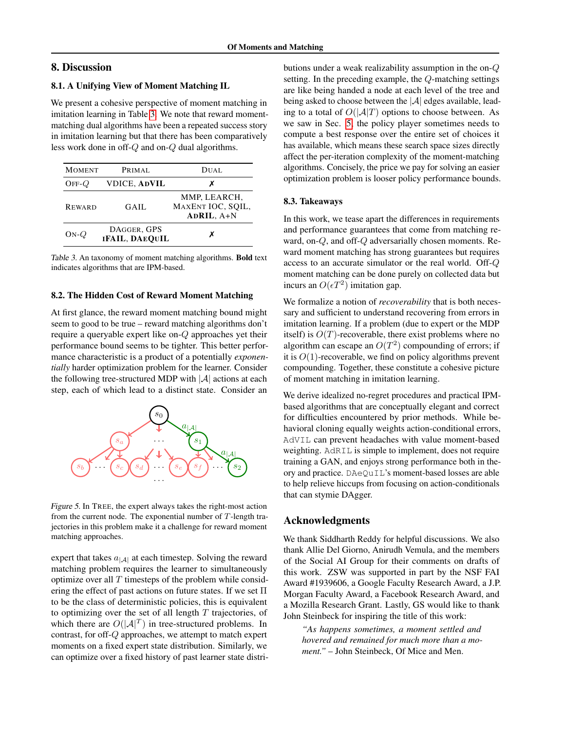## 8. Discussion

## 8.1. A Unifying View of Moment Matching IL

We present a cohesive perspective of moment matching in imitation learning in Table [3.](#page-8-0) We note that reward momentmatching dual algorithms have been a repeated success story in imitation learning but that there has been comparatively less work done in off-Q and on-Q dual algorithms.

<span id="page-8-0"></span>

| <b>MOMENT</b> | PRIMAL.                              | DUAL                                            |
|---------------|--------------------------------------|-------------------------------------------------|
| $OFF-O$       | <b>VDICE, ADVIL</b>                  | х                                               |
| <b>REWARD</b> | GAIL                                 | MMP, LEARCH,<br>MAXENT IOC, SQIL,<br>ADRIL, A+N |
| $ON-O$        | DAGGER, GPS<br><b>IFAIL, DAEQUIL</b> | x                                               |

Table 3. An taxonomy of moment matching algorithms. Bold text indicates algorithms that are IPM-based.

## 8.2. The Hidden Cost of Reward Moment Matching

At first glance, the reward moment matching bound might seem to good to be true – reward matching algorithms don't require a queryable expert like on-Q approaches yet their performance bound seems to be tighter. This better performance characteristic is a product of a potentially *exponentially* harder optimization problem for the learner. Consider the following tree-structured MDP with  $|\mathcal{A}|$  actions at each step, each of which lead to a distinct state. Consider an



Figure 5. In TREE, the expert always takes the right-most action from the current node. The exponential number of  $T$ -length trajectories in this problem make it a challenge for reward moment matching approaches.

expert that takes  $a_{|\mathcal{A}|}$  at each timestep. Solving the reward matching problem requires the learner to simultaneously optimize over all  $T$  timesteps of the problem while considering the effect of past actions on future states. If we set  $\Pi$ to be the class of deterministic policies, this is equivalent to optimizing over the set of all length  $T$  trajectories, of which there are  $O(|A|^T)$  in tree-structured problems. In contrast, for off-Q approaches, we attempt to match expert moments on a fixed expert state distribution. Similarly, we can optimize over a fixed history of past learner state distributions under a weak realizability assumption in the on-Q setting. In the preceding example, the Q-matching settings are like being handed a node at each level of the tree and being asked to choose between the  $|\mathcal{A}|$  edges available, leading to a total of  $O(|A|T)$  options to choose between. As we saw in Sec. [5,](#page-5-3) the policy player sometimes needs to compute a best response over the entire set of choices it has available, which means these search space sizes directly affect the per-iteration complexity of the moment-matching algorithms. Concisely, the price we pay for solving an easier optimization problem is looser policy performance bounds.

#### 8.3. Takeaways

In this work, we tease apart the differences in requirements and performance guarantees that come from matching reward, on-Q, and off-Q adversarially chosen moments. Reward moment matching has strong guarantees but requires access to an accurate simulator or the real world. Off-Q moment matching can be done purely on collected data but incurs an  $O(\epsilon T^2)$  imitation gap.

We formalize a notion of *recoverability* that is both necessary and sufficient to understand recovering from errors in imitation learning. If a problem (due to expert or the MDP itself) is  $O(T)$ -recoverable, there exist problems where no algorithm can escape an  $O(T^2)$  compounding of errors; if it is  $O(1)$ -recoverable, we find on policy algorithms prevent compounding. Together, these constitute a cohesive picture of moment matching in imitation learning.

We derive idealized no-regret procedures and practical IPMbased algorithms that are conceptually elegant and correct for difficulties encountered by prior methods. While behavioral cloning equally weights action-conditional errors, AdVIL can prevent headaches with value moment-based weighting. AdRIL is simple to implement, does not require training a GAN, and enjoys strong performance both in theory and practice. DAeQuIL's moment-based losses are able to help relieve hiccups from focusing on action-conditionals that can stymie DAgger.

#### Acknowledgments

We thank Siddharth Reddy for helpful discussions. We also thank Allie Del Giorno, Anirudh Vemula, and the members of the Social AI Group for their comments on drafts of this work. ZSW was supported in part by the NSF FAI Award #1939606, a Google Faculty Research Award, a J.P. Morgan Faculty Award, a Facebook Research Award, and a Mozilla Research Grant. Lastly, GS would like to thank John Steinbeck for inspiring the title of this work:

*"As happens sometimes, a moment settled and hovered and remained for much more than a moment."* – John Steinbeck, Of Mice and Men.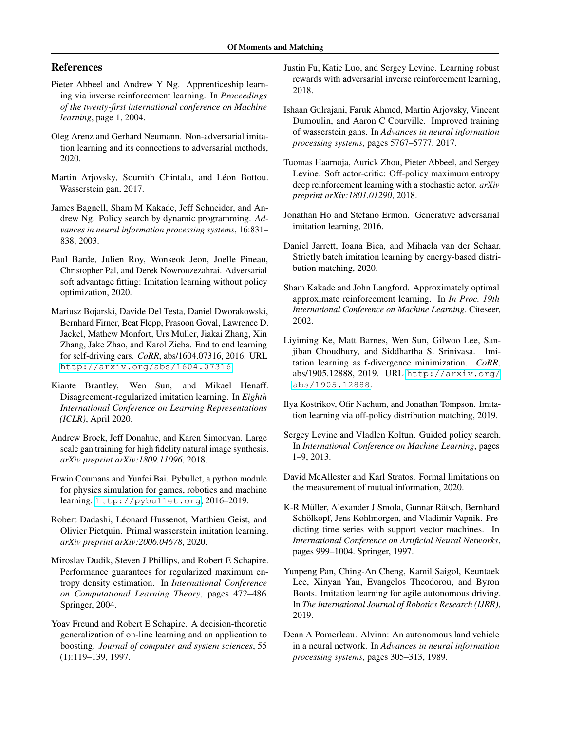## References

- <span id="page-9-5"></span>Pieter Abbeel and Andrew Y Ng. Apprenticeship learning via inverse reinforcement learning. In *Proceedings of the twenty-first international conference on Machine learning*, page 1, 2004.
- <span id="page-9-21"></span>Oleg Arenz and Gerhard Neumann. Non-adversarial imitation learning and its connections to adversarial methods, 2020.
- <span id="page-9-18"></span>Martin Arjovsky, Soumith Chintala, and Léon Bottou. Wasserstein gan, 2017.
- <span id="page-9-13"></span>James Bagnell, Sham M Kakade, Jeff Schneider, and Andrew Ng. Policy search by dynamic programming. *Advances in neural information processing systems*, 16:831– 838, 2003.
- <span id="page-9-14"></span>Paul Barde, Julien Roy, Wonseok Jeon, Joelle Pineau, Christopher Pal, and Derek Nowrouzezahrai. Adversarial soft advantage fitting: Imitation learning without policy optimization, 2020.
- <span id="page-9-1"></span>Mariusz Bojarski, Davide Del Testa, Daniel Dworakowski, Bernhard Firner, Beat Flepp, Prasoon Goyal, Lawrence D. Jackel, Mathew Monfort, Urs Muller, Jiakai Zhang, Xin Zhang, Jake Zhao, and Karol Zieba. End to end learning for self-driving cars. *CoRR*, abs/1604.07316, 2016. URL <http://arxiv.org/abs/1604.07316>.
- <span id="page-9-15"></span>Kiante Brantley, Wen Sun, and Mikael Henaff. Disagreement-regularized imitation learning. In *Eighth International Conference on Learning Representations (ICLR)*, April 2020.
- <span id="page-9-20"></span>Andrew Brock, Jeff Donahue, and Karen Simonyan. Large scale gan training for high fidelity natural image synthesis. *arXiv preprint arXiv:1809.11096*, 2018.
- <span id="page-9-22"></span>Erwin Coumans and Yunfei Bai. Pybullet, a python module for physics simulation for games, robotics and machine learning. <http://pybullet.org>, 2016–2019.
- <span id="page-9-4"></span>Robert Dadashi, Léonard Hussenot, Matthieu Geist, and Olivier Pietquin. Primal wasserstein imitation learning. *arXiv preprint arXiv:2006.04678*, 2020.
- <span id="page-9-7"></span>Miroslav Dudik, Steven J Phillips, and Robert E Schapire. Performance guarantees for regularized maximum entropy density estimation. In *International Conference on Computational Learning Theory*, pages 472–486. Springer, 2004.
- <span id="page-9-23"></span>Yoav Freund and Robert E Schapire. A decision-theoretic generalization of on-line learning and an application to boosting. *Journal of computer and system sciences*, 55 (1):119–139, 1997.
- <span id="page-9-10"></span>Justin Fu, Katie Luo, and Sergey Levine. Learning robust rewards with adversarial inverse reinforcement learning, 2018.
- <span id="page-9-19"></span>Ishaan Gulrajani, Faruk Ahmed, Martin Arjovsky, Vincent Dumoulin, and Aaron C Courville. Improved training of wasserstein gans. In *Advances in neural information processing systems*, pages 5767–5777, 2017.
- <span id="page-9-24"></span>Tuomas Haarnoja, Aurick Zhou, Pieter Abbeel, and Sergey Levine. Soft actor-critic: Off-policy maximum entropy deep reinforcement learning with a stochastic actor. *arXiv preprint arXiv:1801.01290*, 2018.
- <span id="page-9-9"></span>Jonathan Ho and Stefano Ermon. Generative adversarial imitation learning, 2016.
- <span id="page-9-6"></span>Daniel Jarrett, Ioana Bica, and Mihaela van der Schaar. Strictly batch imitation learning by energy-based distribution matching, 2020.
- <span id="page-9-12"></span>Sham Kakade and John Langford. Approximately optimal approximate reinforcement learning. In *In Proc. 19th International Conference on Machine Learning*. Citeseer, 2002.
- <span id="page-9-3"></span>Liyiming Ke, Matt Barnes, Wen Sun, Gilwoo Lee, Sanjiban Choudhury, and Siddhartha S. Srinivasa. Imitation learning as f-divergence minimization. *CoRR*, abs/1905.12888, 2019. URL [http://arxiv.org/](http://arxiv.org/abs/1905.12888) [abs/1905.12888](http://arxiv.org/abs/1905.12888).
- <span id="page-9-2"></span>Ilya Kostrikov, Ofir Nachum, and Jonathan Tompson. Imitation learning via off-policy distribution matching, 2019.
- <span id="page-9-8"></span>Sergey Levine and Vladlen Koltun. Guided policy search. In *International Conference on Machine Learning*, pages 1–9, 2013.
- <span id="page-9-11"></span>David McAllester and Karl Stratos. Formal limitations on the measurement of mutual information, 2020.
- <span id="page-9-17"></span>K-R Müller, Alexander J Smola, Gunnar Rätsch, Bernhard Schölkopf, Jens Kohlmorgen, and Vladimir Vapnik. Predicting time series with support vector machines. In *International Conference on Artificial Neural Networks*, pages 999–1004. Springer, 1997.
- <span id="page-9-16"></span>Yunpeng Pan, Ching-An Cheng, Kamil Saigol, Keuntaek Lee, Xinyan Yan, Evangelos Theodorou, and Byron Boots. Imitation learning for agile autonomous driving. In *The International Journal of Robotics Research (IJRR)*, 2019.
- <span id="page-9-0"></span>Dean A Pomerleau. Alvinn: An autonomous land vehicle in a neural network. In *Advances in neural information processing systems*, pages 305–313, 1989.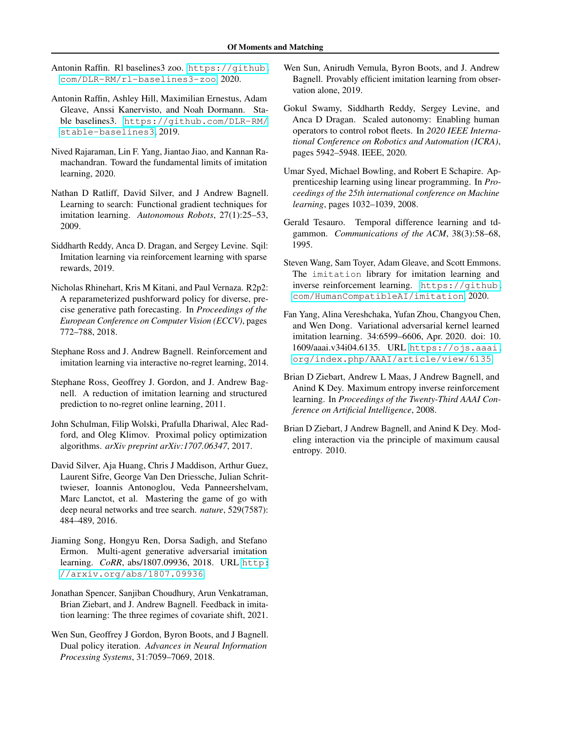- <span id="page-10-18"></span>Antonin Raffin. Rl baselines3 zoo. [https://github.](https://github.com/DLR-RM/rl-baselines3-zoo) [com/DLR-RM/rl-baselines3-zoo](https://github.com/DLR-RM/rl-baselines3-zoo), 2020.
- <span id="page-10-16"></span>Antonin Raffin, Ashley Hill, Maximilian Ernestus, Adam Gleave, Anssi Kanervisto, and Noah Dormann. Stable baselines3. [https://github.com/DLR-RM/](https://github.com/DLR-RM/stable-baselines3) [stable-baselines3](https://github.com/DLR-RM/stable-baselines3), 2019.
- <span id="page-10-12"></span>Nived Rajaraman, Lin F. Yang, Jiantao Jiao, and Kannan Ramachandran. Toward the fundamental limits of imitation learning, 2020.
- <span id="page-10-8"></span>Nathan D Ratliff, David Silver, and J Andrew Bagnell. Learning to search: Functional gradient techniques for imitation learning. *Autonomous Robots*, 27(1):25–53, 2009.
- <span id="page-10-9"></span>Siddharth Reddy, Anca D. Dragan, and Sergey Levine. Sqil: Imitation learning via reinforcement learning with sparse rewards, 2019.
- <span id="page-10-0"></span>Nicholas Rhinehart, Kris M Kitani, and Paul Vernaza. R2p2: A reparameterized pushforward policy for diverse, precise generative path forecasting. In *Proceedings of the European Conference on Computer Vision (ECCV)*, pages 772–788, 2018.
- <span id="page-10-15"></span>Stephane Ross and J. Andrew Bagnell. Reinforcement and imitation learning via interactive no-regret learning, 2014.
- <span id="page-10-6"></span>Stephane Ross, Geoffrey J. Gordon, and J. Andrew Bagnell. A reduction of imitation learning and structured prediction to no-regret online learning, 2011.
- <span id="page-10-17"></span>John Schulman, Filip Wolski, Prafulla Dhariwal, Alec Radford, and Oleg Klimov. Proximal policy optimization algorithms. *arXiv preprint arXiv:1707.06347*, 2017.
- <span id="page-10-3"></span>David Silver, Aja Huang, Chris J Maddison, Arthur Guez, Laurent Sifre, George Van Den Driessche, Julian Schrittwieser, Ioannis Antonoglou, Veda Panneershelvam, Marc Lanctot, et al. Mastering the game of go with deep neural networks and tree search. *nature*, 529(7587): 484–489, 2016.
- <span id="page-10-7"></span>Jiaming Song, Hongyu Ren, Dorsa Sadigh, and Stefano Ermon. Multi-agent generative adversarial imitation learning. *CoRR*, abs/1807.09936, 2018. URL [http:](http://arxiv.org/abs/1807.09936) [//arxiv.org/abs/1807.09936](http://arxiv.org/abs/1807.09936).
- <span id="page-10-13"></span>Jonathan Spencer, Sanjiban Choudhury, Arun Venkatraman, Brian Ziebart, and J. Andrew Bagnell. Feedback in imitation learning: The three regimes of covariate shift, 2021.
- <span id="page-10-4"></span>Wen Sun, Geoffrey J Gordon, Byron Boots, and J Bagnell. Dual policy iteration. *Advances in Neural Information Processing Systems*, 31:7059–7069, 2018.
- <span id="page-10-2"></span>Wen Sun, Anirudh Vemula, Byron Boots, and J. Andrew Bagnell. Provably efficient imitation learning from observation alone, 2019.
- <span id="page-10-5"></span>Gokul Swamy, Siddharth Reddy, Sergey Levine, and Anca D Dragan. Scaled autonomy: Enabling human operators to control robot fleets. In *2020 IEEE International Conference on Robotics and Automation (ICRA)*, pages 5942–5948. IEEE, 2020.
- <span id="page-10-10"></span>Umar Syed, Michael Bowling, and Robert E Schapire. Apprenticeship learning using linear programming. In *Proceedings of the 25th international conference on Machine learning*, pages 1032–1039, 2008.
- <span id="page-10-20"></span>Gerald Tesauro. Temporal difference learning and tdgammon. *Communications of the ACM*, 38(3):58–68, 1995.
- <span id="page-10-19"></span>Steven Wang, Sam Toyer, Adam Gleave, and Scott Emmons. The imitation library for imitation learning and inverse reinforcement learning. [https://github.](https://github.com/HumanCompatibleAI/imitation) [com/HumanCompatibleAI/imitation](https://github.com/HumanCompatibleAI/imitation), 2020.
- <span id="page-10-14"></span>Fan Yang, Alina Vereshchaka, Yufan Zhou, Changyou Chen, and Wen Dong. Variational adversarial kernel learned imitation learning. 34:6599–6606, Apr. 2020. doi: 10. 1609/aaai.v34i04.6135. URL [https://ojs.aaai.](https://ojs.aaai.org/index.php/AAAI/article/view/6135) [org/index.php/AAAI/article/view/6135](https://ojs.aaai.org/index.php/AAAI/article/view/6135).
- <span id="page-10-1"></span>Brian D Ziebart, Andrew L Maas, J Andrew Bagnell, and Anind K Dey. Maximum entropy inverse reinforcement learning. In *Proceedings of the Twenty-Third AAAI Conference on Artificial Intelligence*, 2008.
- <span id="page-10-11"></span>Brian D Ziebart, J Andrew Bagnell, and Anind K Dey. Modeling interaction via the principle of maximum causal entropy. 2010.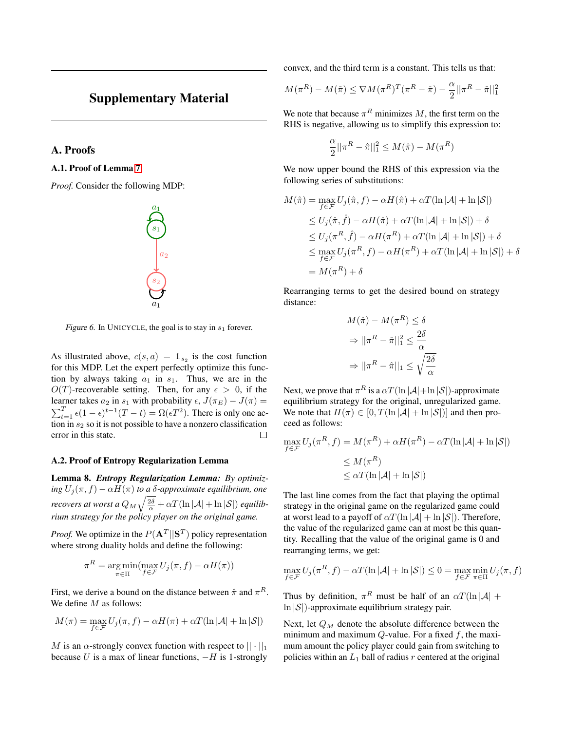## Supplementary Material

<span id="page-11-1"></span>A. Proofs

A.1. Proof of Lemma [7](#page-5-4)

<span id="page-11-0"></span>*Proof.* Consider the following MDP:



Figure 6. In UNICYCLE, the goal is to stay in  $s_1$  forever.

As illustrated above,  $c(s, a) = \mathbb{1}_{s_2}$  is the cost function for this MDP. Let the expert perfectly optimize this function by always taking  $a_1$  in  $s_1$ . Thus, we are in the  $O(T)$ -recoverable setting. Then, for any  $\epsilon > 0$ , if the learner takes  $a_2$  in  $s_1$  with probability  $\epsilon$ ,  $J(\pi_E) - J(\pi) =$  $\sum_{t=1}^{T} \epsilon (1 - \epsilon)^{t-1} (T - t) = \Omega(\epsilon T^2)$ . There is only one action in  $s_2$  so it is not possible to have a nonzero classification error in this state. П

#### A.2. Proof of Entropy Regularization Lemma

Lemma 8. *Entropy Regularization Lemma: By optimizing*  $U_i(\pi, f) - \alpha H(\pi)$  *to a δ-approximate equilibrium, one recovers at worst a*  $Q_M \sqrt{\frac{2 \delta}{\alpha}} + \alpha T (\ln |\mathcal{A}| + \ln |\mathcal{S}|)$  *equilibrium strategy for the policy player on the original game.*

*Proof.* We optimize in the  $P(A^T||S^T)$  policy representation where strong duality holds and define the following:

$$
\pi^R = \underset{\pi \in \Pi}{\arg \min} (\max_{f \in \mathcal{F}} U_j(\pi, f) - \alpha H(\pi))
$$

First, we derive a bound on the distance between  $\hat{\pi}$  and  $\pi^R$ . We define *M* as follows:

$$
M(\pi) = \max_{f \in \mathcal{F}} U_j(\pi, f) - \alpha H(\pi) + \alpha T(\ln |\mathcal{A}| + \ln |\mathcal{S}|)
$$

M is an  $\alpha$ -strongly convex function with respect to  $|| \cdot ||_1$ because U is a max of linear functions,  $-H$  is 1-strongly convex, and the third term is a constant. This tells us that:

$$
M(\pi^R) - M(\hat{\pi}) \le \nabla M(\pi^R)^T (\pi^R - \hat{\pi}) - \frac{\alpha}{2} ||\pi^R - \hat{\pi}||_1^2
$$

We note that because  $\pi^R$  minimizes M, the first term on the RHS is negative, allowing us to simplify this expression to:

$$
\frac{\alpha}{2}||\pi^R - \hat{\pi}||_1^2 \le M(\hat{\pi}) - M(\pi^R)
$$

We now upper bound the RHS of this expression via the following series of substitutions:

$$
M(\hat{\pi}) = \max_{f \in \mathcal{F}} U_j(\hat{\pi}, f) - \alpha H(\hat{\pi}) + \alpha T(\ln |\mathcal{A}| + \ln |\mathcal{S}|)
$$
  
\n
$$
\leq U_j(\hat{\pi}, \hat{f}) - \alpha H(\hat{\pi}) + \alpha T(\ln |\mathcal{A}| + \ln |\mathcal{S}|) + \delta
$$
  
\n
$$
\leq U_j(\pi^R, \hat{f}) - \alpha H(\pi^R) + \alpha T(\ln |\mathcal{A}| + \ln |\mathcal{S}|) + \delta
$$
  
\n
$$
\leq \max_{f \in \mathcal{F}} U_j(\pi^R, f) - \alpha H(\pi^R) + \alpha T(\ln |\mathcal{A}| + \ln |\mathcal{S}|) + \delta
$$
  
\n
$$
= M(\pi^R) + \delta
$$

Rearranging terms to get the desired bound on strategy distance:

$$
M(\hat{\pi}) - M(\pi^R) \le \delta
$$

$$
\Rightarrow ||\pi^R - \hat{\pi}||_1^2 \le \frac{2\delta}{\alpha}
$$

$$
\Rightarrow ||\pi^R - \hat{\pi}||_1 \le \sqrt{\frac{2\delta}{\alpha}}
$$

Next, we prove that  $\pi^R$  is a  $\alpha T(\ln |\mathcal{A}| + \ln |\mathcal{S}|)$ -approximate equilibrium strategy for the original, unregularized game. We note that  $H(\pi) \in [0, T(\ln |\mathcal{A}| + \ln |\mathcal{S}|)]$  and then proceed as follows:

$$
\max_{f \in \mathcal{F}} U_j(\pi^R, f) = M(\pi^R) + \alpha H(\pi^R) - \alpha T(\ln |\mathcal{A}| + \ln |\mathcal{S}|)
$$
  

$$
\leq M(\pi^R)
$$
  

$$
\leq \alpha T(\ln |\mathcal{A}| + \ln |\mathcal{S}|)
$$

The last line comes from the fact that playing the optimal strategy in the original game on the regularized game could at worst lead to a payoff of  $\alpha T(\ln |\mathcal{A}| + \ln |\mathcal{S}|)$ . Therefore, the value of the regularized game can at most be this quantity. Recalling that the value of the original game is 0 and rearranging terms, we get:

$$
\max_{f \in \mathcal{F}} U_j(\pi^R, f) - \alpha T(\ln |\mathcal{A}| + \ln |\mathcal{S}|) \le 0 = \max_{f \in \mathcal{F}} \min_{\pi \in \Pi} U_j(\pi, f)
$$

Thus by definition,  $\pi^R$  must be half of an  $\alpha T(\ln |\mathcal{A}| +$  $\ln |\mathcal{S}|$ )-approximate equilibrium strategy pair.

Next, let  $Q_M$  denote the absolute difference between the minimum and maximum  $Q$ -value. For a fixed  $f$ , the maximum amount the policy player could gain from switching to policies within an  $L_1$  ball of radius r centered at the original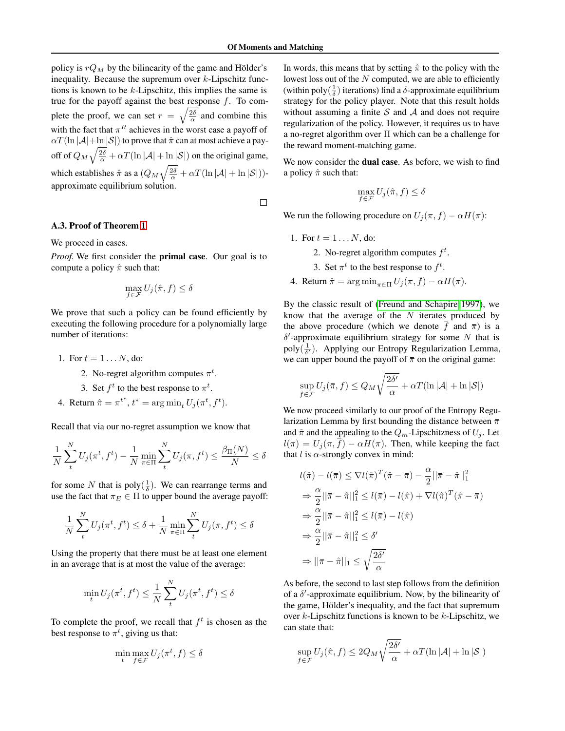policy is  $rQ_M$  by the bilinearity of the game and Hölder's inequality. Because the supremum over  $k$ -Lipschitz functions is known to be  $k$ -Lipschitz, this implies the same is true for the payoff against the best response  $f$ . To complete the proof, we can set  $r = \sqrt{\frac{2\delta}{\alpha}}$  and combine this with the fact that  $\pi^R$  achieves in the worst case a payoff of  $\alpha T(\ln |\mathcal{A}| + \ln |\mathcal{S}|)$  to prove that  $\hat{\pi}$  can at most achieve a payoff of  $Q_M \sqrt{\frac{2\delta}{\alpha}} + \alpha T(\ln|\mathcal{A}| + \ln|\mathcal{S}|)$  on the original game, which establishes  $\hat{\pi}$  as a  $(Q_M \sqrt{\frac{2\delta}{\alpha}} + \alpha T (\ln |\mathcal{A}| + \ln |\mathcal{S}|))$ approximate equilibrium solution.

 $\Box$ 

#### A.3. Proof of Theorem [1](#page-6-0)

We proceed in cases.

*Proof.* We first consider the primal case. Our goal is to compute a policy  $\hat{\pi}$  such that:

$$
\max_{f \in \mathcal{F}} U_j(\hat{\pi}, f) \le \delta
$$

We prove that such a policy can be found efficiently by executing the following procedure for a polynomially large number of iterations:

- 1. For  $t = 1...N$ , do:
	- 2. No-regret algorithm computes  $\pi^t$ .
	- 3. Set  $f^t$  to the best response to  $\pi^t$ .
- 4. Return  $\hat{\pi} = \pi^{t^*}, t^* = \arg \min_t U_j(\pi^t, f^t)$ .

Recall that via our no-regret assumption we know that

$$
\frac{1}{N}\sum_{t}^{N}U_j(\pi^t, f^t) - \frac{1}{N}\min_{\pi \in \Pi} \sum_{t}^{N} U_j(\pi, f^t) \le \frac{\beta_{\Pi}(N)}{N} \le \delta
$$

for some N that is poly $(\frac{1}{\delta})$ . We can rearrange terms and use the fact that  $\pi_E \in \Pi$  to upper bound the average payoff:

$$
\frac{1}{N}\sum_{t}^{N}U_{j}(\pi^{t},f^{t}) \leq \delta + \frac{1}{N}\min_{\pi \in \Pi} \sum_{t}^{N}U_{j}(\pi,f^{t}) \leq \delta
$$

Using the property that there must be at least one element in an average that is at most the value of the average:

$$
\min_t U_j(\pi^t, f^t) \le \frac{1}{N} \sum_t^N U_j(\pi^t, f^t) \le \delta
$$

To complete the proof, we recall that  $f^t$  is chosen as the best response to  $\pi^t$ , giving us that:

$$
\min_{t} \max_{f \in \mathcal{F}} U_j(\pi^t, f) \le \delta
$$

In words, this means that by setting  $\hat{\pi}$  to the policy with the lowest loss out of the  $N$  computed, we are able to efficiently (within poly $(\frac{1}{\delta})$  iterations) find a  $\delta$ -approximate equilibrium strategy for the policy player. Note that this result holds without assuming a finite  $S$  and  $A$  and does not require regularization of the policy. However, it requires us to have a no-regret algorithm over Π which can be a challenge for the reward moment-matching game.

We now consider the **dual case**. As before, we wish to find a policy  $\hat{\pi}$  such that:

$$
\max_{f \in \mathcal{F}} U_j(\hat{\pi}, f) \le \delta
$$

We run the following procedure on  $U_i(\pi, f) - \alpha H(\pi)$ :

1. For  $t = 1...N$ , do:

2. No-regret algorithm computes  $f^t$ .

3. Set  $\pi^t$  to the best response to  $f^t$ .

4. Return  $\hat{\pi} = \arg \min_{\pi \in \Pi} U_i(\pi, \overline{f}) - \alpha H(\pi)$ .

By the classic result of [\(Freund and Schapire 1997\)](#page-9-23), we know that the average of the  $N$  iterates produced by the above procedure (which we denote f and  $\bar{\pi}$ ) is a  $\delta'$ -approximate equilibrium strategy for some N that is poly $(\frac{1}{\delta})$ . Applying our Entropy Regularization Lemma, we can upper bound the payoff of  $\bar{\pi}$  on the original game:

$$
\sup_{f \in \mathcal{F}} U_j(\overline{\pi}, f) \le Q_M \sqrt{\frac{2\delta'}{\alpha}} + \alpha T(\ln |\mathcal{A}| + \ln |\mathcal{S}|)
$$

We now proceed similarly to our proof of the Entropy Regularization Lemma by first bounding the distance between  $\bar{\pi}$ and  $\hat{\pi}$  and the appealing to the  $Q_m$ -Lipschitzness of  $U_i$ . Let  $l(\pi) = U_j(\pi, \bar{f}) - \alpha H(\pi)$ . Then, while keeping the fact that  $l$  is  $\alpha$ -strongly convex in mind:

$$
l(\hat{\pi}) - l(\bar{\pi}) \leq \nabla l(\hat{\pi})^T (\hat{\pi} - \bar{\pi}) - \frac{\alpha}{2} ||\bar{\pi} - \hat{\pi}||_1^2
$$
  
\n
$$
\Rightarrow \frac{\alpha}{2} ||\bar{\pi} - \hat{\pi}||_1^2 \leq l(\bar{\pi}) - l(\hat{\pi}) + \nabla l(\hat{\pi})^T (\hat{\pi} - \bar{\pi})
$$
  
\n
$$
\Rightarrow \frac{\alpha}{2} ||\bar{\pi} - \hat{\pi}||_1^2 \leq l(\bar{\pi}) - l(\hat{\pi})
$$
  
\n
$$
\Rightarrow \frac{\alpha}{2} ||\bar{\pi} - \hat{\pi}||_1^2 \leq \delta'
$$
  
\n
$$
\Rightarrow ||\bar{\pi} - \hat{\pi}||_1 \leq \sqrt{\frac{2\delta'}{\alpha}}
$$

As before, the second to last step follows from the definition of a  $\delta'$ -approximate equilibrium. Now, by the bilinearity of the game, Hölder's inequality, and the fact that supremum over  $k$ -Lipschitz functions is known to be  $k$ -Lipschitz, we can state that:

$$
\sup_{f \in \mathcal{F}} U_j(\hat{\pi}, f) \le 2Q_M \sqrt{\frac{2\delta'}{\alpha}} + \alpha T(\ln|\mathcal{A}| + \ln|\mathcal{S}|)
$$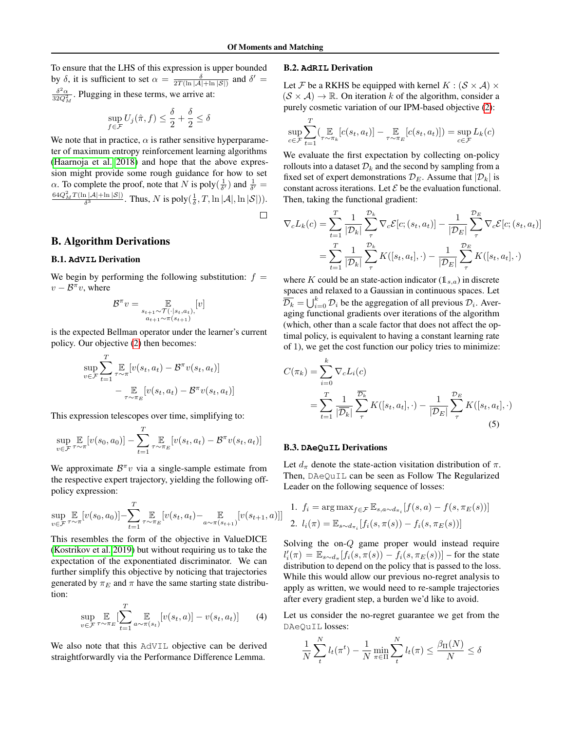To ensure that the LHS of this expression is upper bounded by  $\delta$ , it is sufficient to set  $\alpha = \frac{\delta}{2T(\ln |\mathcal{A}| + \ln |\mathcal{S}|)}$  and  $\delta' =$  $δ²_α$  $\frac{\delta^2 \alpha}{32Q_M^2}$ . Plugging in these terms, we arrive at:

$$
\sup_{f \in \mathcal{F}} U_j(\hat{\pi}, f) \le \frac{\delta}{2} + \frac{\delta}{2} \le \delta
$$

We note that in practice,  $\alpha$  is rather sensitive hyperparameter of maximum entropy reinforcement learning algorithms [\(Haarnoja et al. 2018\)](#page-9-24) and hope that the above expression might provide some rough guidance for how to set  $\alpha$ . To complete the proof, note that N is poly $(\frac{1}{\delta'})$  and  $\frac{1}{\delta'}$  =  $\frac{64Q_M^2 T(\ln |\mathcal{A}| + \ln |\mathcal{S}|)}{\delta^3}$ . Thus, N is poly $(\frac{1}{\delta}, T, \ln |\mathcal{A}|, \ln |\mathcal{S}|)$ ).

 $\Box$ 

## B. Algorithm Derivations

## <span id="page-13-0"></span>B.1. **AdVIL** Derivation

We begin by performing the following substitution:  $f =$  $v - \mathcal{B}^{\pi} v$ , where

$$
\mathcal{B}^{\pi}v = \mathop{\mathbb{E}}_{\substack{s_{t+1} \sim \mathcal{T}(\cdot | s_t, a_t), \\ a_{t+1} \sim \pi(s_{t+1})}}[v]
$$

is the expected Bellman operator under the learner's current policy. Our objective [\(2\)](#page-6-1) then becomes:

$$
\sup_{v \in \mathcal{F}} \sum_{t=1}^T \mathbb{E}_{\tau \sim \pi} [v(s_t, a_t) - \mathcal{B}^{\pi} v(s_t, a_t)]
$$

$$
- \mathbb{E}_{\tau \sim \pi_E} [v(s_t, a_t) - \mathcal{B}^{\pi} v(s_t, a_t)]
$$

This expression telescopes over time, simplifying to:

$$
\sup_{v \in \mathcal{F}} \mathbb{E}_{\tau \sim \pi}[v(s_0, a_0)] - \sum_{t=1}^T \mathbb{E}_{\tau \sim \pi_E}[v(s_t, a_t) - \mathcal{B}^{\pi}v(s_t, a_t)]
$$

We approximate  $B^{\pi}v$  via a single-sample estimate from the respective expert trajectory, yielding the following offpolicy expression:

$$
\sup_{v \in \mathcal{F}} \mathbb{E}_{\tau \sim \pi}[v(s_0, a_0)] - \sum_{t=1}^T \mathbb{E}_{\tau \sim \pi_E}[v(s_t, a_t) - \mathbb{E}_{a \sim \pi(s_{t+1})}[v(s_{t+1}, a)]]
$$

This resembles the form of the objective in ValueDICE [\(Kostrikov et al. 2019\)](#page-9-2) but without requiring us to take the expectation of the exponentiated discriminator. We can further simplify this objective by noticing that trajectories generated by  $\pi_E$  and  $\pi$  have the same starting state distribution:

$$
\sup_{v \in \mathcal{F}} \mathbb{E}_{\tau \sim \pi_E} \left[ \sum_{t=1}^T \mathbb{E}_{a \sim \pi(s_t)} [v(s_t, a)] - v(s_t, a_t) \right] \tag{4}
$$

We also note that this AdVIL objective can be derived straightforwardly via the Performance Difference Lemma.

#### <span id="page-13-1"></span>B.2. **AdRIL** Derivation

Let F be a RKHS be equipped with kernel  $K : (\mathcal{S} \times \mathcal{A}) \times$  $(S \times A) \rightarrow \mathbb{R}$ . On iteration k of the algorithm, consider a purely cosmetic variation of our IPM-based objective [\(2\)](#page-6-1):

$$
\sup_{c \in \mathcal{F}} \sum_{t=1}^{T} \left( \mathop{\mathbb{E}}_{\tau \sim \pi_k} [c(s_t, a_t)] - \mathop{\mathbb{E}}_{\tau \sim \pi_E} [c(s_t, a_t)] \right) = \sup_{c \in \mathcal{F}} L_k(c)
$$

We evaluate the first expectation by collecting on-policy rollouts into a dataset  $\mathcal{D}_k$  and the second by sampling from a fixed set of expert demonstrations  $\mathcal{D}_E$ . Assume that  $|\mathcal{D}_k|$  is constant across iterations. Let  $\mathcal E$  be the evaluation functional. Then, taking the functional gradient:

$$
\nabla_c L_k(c) = \sum_{t=1}^T \frac{1}{|\mathcal{D}_k|} \sum_{\tau}^{\mathcal{D}_k} \nabla_c \mathcal{E}[c; (s_t, a_t)] - \frac{1}{|\mathcal{D}_E|} \sum_{\tau}^{\mathcal{D}_E} \nabla_c \mathcal{E}[c; (s_t, a_t)]
$$
  
= 
$$
\sum_{t=1}^T \frac{1}{|\mathcal{D}_k|} \sum_{\tau}^{\mathcal{D}_k} K([s_t, a_t], \cdot) - \frac{1}{|\mathcal{D}_E|} \sum_{\tau}^{\mathcal{D}_E} K([s_t, a_t], \cdot)
$$

where K could be an state-action indicator  $(1<sub>s,a</sub>)$  in discrete spaces and relaxed to a Gaussian in continuous spaces. Let  $\overline{\mathcal{D}_k} = \bigcup_{i=0}^k \mathcal{D}_i$  be the aggregation of all previous  $\mathcal{D}_i$ . Averaging functional gradients over iterations of the algorithm (which, other than a scale factor that does not affect the optimal policy, is equivalent to having a constant learning rate of 1), we get the cost function our policy tries to minimize:

$$
C(\pi_k) = \sum_{i=0}^k \nabla_c L_i(c)
$$
  
= 
$$
\sum_{t=1}^T \frac{1}{|\overline{\mathcal{D}_k}|} \sum_{\tau}^{\overline{\mathcal{D}_k}} K([s_t, a_t], \cdot) - \frac{1}{|\mathcal{D}_E|} \sum_{\tau}^{\mathcal{D}_E} K([s_t, a_t], \cdot)
$$
 (5)

#### <span id="page-13-2"></span>B.3. **DAeQuIL** Derivations

Let  $d_{\pi}$  denote the state-action visitation distribution of  $\pi$ . Then, DAeQuIL can be seen as Follow The Regularized Leader on the following sequence of losses:

1. 
$$
f_i = \arg \max_{f \in \mathcal{F}} \mathbb{E}_{s, a \sim d_{\pi_i}} [f(s, a) - f(s, \pi_E(s))]
$$
  
2.  $l_i(\pi) = \mathbb{E}_{s \sim d_{\pi_i}} [f_i(s, \pi(s)) - f_i(s, \pi_E(s))]$ 

Solving the on-Q game proper would instead require  $l_i'(\pi) = \mathbb{E}_{s \sim d_{\pi}}[f_i(s, \pi(s)) - f_i(s, \pi_E(s))]$  – for the state distribution to depend on the policy that is passed to the loss. While this would allow our previous no-regret analysis to apply as written, we would need to re-sample trajectories after every gradient step, a burden we'd like to avoid.

Let us consider the no-regret guarantee we get from the DAeQuIL losses:

$$
\frac{1}{N} \sum_{t}^{N} l_t(\pi^t) - \frac{1}{N} \min_{\pi \in \Pi} \sum_{t}^{N} l_t(\pi) \le \frac{\beta_{\Pi}(N)}{N} \le \delta
$$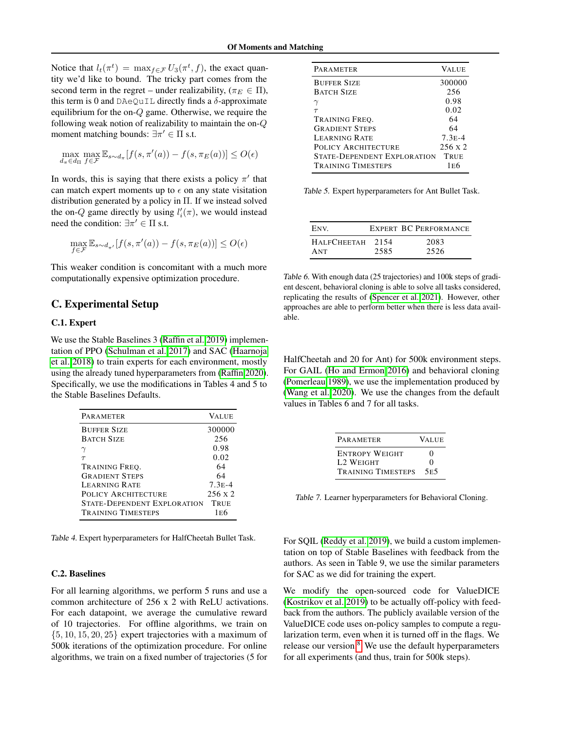Notice that  $l_t(\pi^t) = \max_{f \in \mathcal{F}} U_3(\pi^t, f)$ , the exact quantity we'd like to bound. The tricky part comes from the second term in the regret – under realizability, ( $\pi_E \in \Pi$ ), this term is 0 and DAeQuIL directly finds a  $\delta$ -approximate equilibrium for the on-Q game. Otherwise, we require the following weak notion of realizability to maintain the on-Q moment matching bounds:  $\exists \pi' \in \Pi$  s.t.

$$
\max_{d_{\pi} \in d_{\Pi}} \max_{f \in \mathcal{F}} \mathbb{E}_{s \sim d_{\pi}}[f(s, \pi'(a)) - f(s, \pi_E(a))] \le O(\epsilon)
$$

In words, this is saying that there exists a policy  $\pi'$  that can match expert moments up to  $\epsilon$  on any state visitation distribution generated by a policy in Π. If we instead solved the on-Q game directly by using  $l_i'(\pi)$ , we would instead need the condition:  $\exists \pi' \in \Pi$  s.t.

$$
\max_{f \in \mathcal{F}} \mathbb{E}_{s \sim d_{\pi'}}[f(s, \pi'(a)) - f(s, \pi_E(a))] \le O(\epsilon)
$$

This weaker condition is concomitant with a much more computationally expensive optimization procedure.

## <span id="page-14-0"></span>C. Experimental Setup

## C.1. Expert

We use the Stable Baselines 3 [\(Raffin et al. 2019\)](#page-10-16) implementation of PPO [\(Schulman et al. 2017\)](#page-10-17) and SAC [\(Haarnoja](#page-9-24) [et al. 2018\)](#page-9-24) to train experts for each environment, mostly using the already tuned hyperparameters from [\(Raffin 2020\)](#page-10-18). Specifically, we use the modifications in Tables 4 and 5 to the Stable Baselines Defaults.

| PARAMETER                          | <b>VALUE</b>   |
|------------------------------------|----------------|
| <b>BUFFER SIZE</b>                 | 300000         |
| <b>BATCH SIZE</b>                  | 256            |
|                                    | 0.98           |
| $\tau$                             | 0.02           |
| TRAINING FREO.                     | 64             |
| <b>GRADIENT STEPS</b>              | 64             |
| LEARNING RATE                      | $7.3E - 4$     |
| <b>POLICY ARCHITECTURE</b>         | $256 \times 2$ |
| <b>STATE-DEPENDENT EXPLORATION</b> | TRUE           |
| <b>TRAINING TIMESTEPS</b>          | 1 E 6          |

Table 4. Expert hyperparameters for HalfCheetah Bullet Task.

## C.2. Baselines

For all learning algorithms, we perform 5 runs and use a common architecture of 256 x 2 with ReLU activations. For each datapoint, we average the cumulative reward of 10 trajectories. For offline algorithms, we train on  $\{5, 10, 15, 20, 25\}$  expert trajectories with a maximum of 500k iterations of the optimization procedure. For online algorithms, we train on a fixed number of trajectories (5 for

| PARAMETER                          | <b>VALUE</b>   |
|------------------------------------|----------------|
| <b>BUFFER SIZE</b>                 | 300000         |
| <b>BATCH SIZE</b>                  | 256            |
|                                    | 0.98           |
| $\tau$                             | 0.02           |
| TRAINING FREO.                     | 64             |
| <b>GRADIENT STEPS</b>              | 64             |
| <b>LEARNING RATE</b>               | $7.3E - 4$     |
| <b>POLICY ARCHITECTURE</b>         | $256 \times 2$ |
| <b>STATE-DEPENDENT EXPLORATION</b> | TRUE           |
| <b>TRAINING TIMESTEPS</b>          | 1 E 6          |

Table 5. Expert hyperparameters for Ant Bullet Task.

| ENV.               |      | <b>EXPERT BC PERFORMANCE</b> |
|--------------------|------|------------------------------|
| <b>HALFCHEETAH</b> | 2154 | 2083                         |
| ANT                | 2585 | 2526                         |

Table 6. With enough data (25 trajectories) and 100k steps of gradient descent, behavioral cloning is able to solve all tasks considered, replicating the results of [\(Spencer et al. 2021\)](#page-10-13). However, other approaches are able to perform better when there is less data available.

HalfCheetah and 20 for Ant) for 500k environment steps. For GAIL [\(Ho and Ermon 2016\)](#page-9-9) and behavioral cloning [\(Pomerleau 1989\)](#page-9-0), we use the implementation produced by [\(Wang et al. 2020\)](#page-10-19). We use the changes from the default values in Tables 6 and 7 for all tasks.

| <b>PARAMETER</b>          | <b>VALUE</b>      |
|---------------------------|-------------------|
| <b>ENTROPY WEIGHT</b>     | $\mathbf{\Omega}$ |
| <b>L2 WEIGHT</b>          | 0                 |
| <b>TRAINING TIMESTEPS</b> | 5E5               |

Table 7. Learner hyperparameters for Behavioral Cloning.

For SQIL [\(Reddy et al. 2019\)](#page-10-9), we build a custom implementation on top of Stable Baselines with feedback from the authors. As seen in Table 9, we use the similar parameters for SAC as we did for training the expert.

We modify the open-sourced code for ValueDICE [\(Kostrikov et al. 2019\)](#page-9-2) to be actually off-policy with feedback from the authors. The publicly available version of the ValueDICE code uses on-policy samples to compute a regularization term, even when it is turned off in the flags. We release our version. $8$  We use the default hyperparameters for all experiments (and thus, train for 500k steps).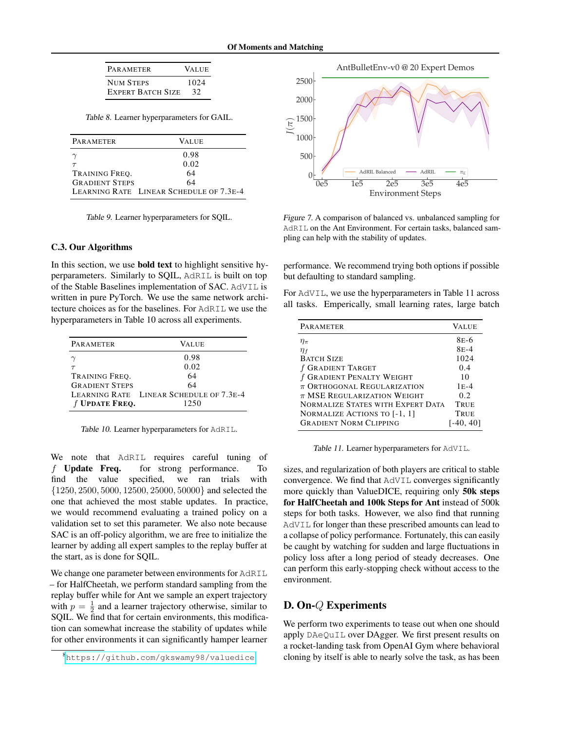| <b>PARAMETER</b>  |                          | <b>VALUE</b> |
|-------------------|--------------------------|--------------|
| <b>NIIM STEPS</b> | <b>EXPERT BATCH SIZE</b> | 1024<br>32   |

Table 8. Learner hyperparameters for GAIL.

| PARAMETER             | VALUE                                   |
|-----------------------|-----------------------------------------|
|                       | 0.98                                    |
|                       | 0.02                                    |
| TRAINING FREO.        | 64                                      |
| <b>GRADIENT STEPS</b> | 64                                      |
|                       | LEARNING RATE LINEAR SCHEDULE OF 7.3E-4 |

Table 9. Learner hyperparameters for SQIL.

#### C.3. Our Algorithms

In this section, we use bold text to highlight sensitive hyperparameters. Similarly to SQIL, AdRIL is built on top of the Stable Baselines implementation of SAC. AdVIL is written in pure PyTorch. We use the same network architecture choices as for the baselines. For AdRIL we use the hyperparameters in Table 10 across all experiments.

| <b>PARAMETER</b>      | VALUE                                   |
|-----------------------|-----------------------------------------|
|                       | 0.98                                    |
|                       | 0.02                                    |
| TRAINING FREO.        | 64                                      |
| <b>GRADIENT STEPS</b> | 64                                      |
|                       | LEARNING RATE LINEAR SCHEDULE OF 7.3E-4 |
| f UPDATE FREQ.        | 1250                                    |

Table 10. Learner hyperparameters for AdRIL.

We note that AdRIL requires careful tuning of f Update Freq. for strong performance. To find the value specified, we ran trials with {1250, 2500, 5000, 12500, 25000, 50000} and selected the one that achieved the most stable updates. In practice, we would recommend evaluating a trained policy on a validation set to set this parameter. We also note because SAC is an off-policy algorithm, we are free to initialize the learner by adding all expert samples to the replay buffer at the start, as is done for SQIL.

We change one parameter between environments for AdRIL – for HalfCheetah, we perform standard sampling from the replay buffer while for Ant we sample an expert trajectory with  $p = \frac{1}{2}$  and a learner trajectory otherwise, similar to SQIL. We find that for certain environments, this modification can somewhat increase the stability of updates while for other environments it can significantly hamper learner



Figure 7. A comparison of balanced vs. unbalanced sampling for AdRIL on the Ant Environment. For certain tasks, balanced sampling can help with the stability of updates.

performance. We recommend trying both options if possible but defaulting to standard sampling.

For AdVIL, we use the hyperparameters in Table 11 across all tasks. Emperically, small learning rates, large batch

| PARAMETER                                | <b>VALUE</b>      |
|------------------------------------------|-------------------|
| $\eta_{\pi}$                             | 8 <sub>E</sub> -6 |
| $\eta_f$                                 | $8E-4$            |
| <b>BATCH SIZE</b>                        | 1024              |
| f GRADIENT TARGET                        | 0.4               |
| f GRADIENT PENALTY WEIGHT                | 10                |
| $\pi$ Orthogonal Regularization          | $1E-4$            |
| $\pi$ MSE REGULARIZATION WEIGHT          | 0.2               |
| <b>NORMALIZE STATES WITH EXPERT DATA</b> | TRUE              |
| NORMALIZE ACTIONS TO [-1, 1]             | TRUE              |
| <b>GRADIENT NORM CLIPPING</b>            | $[-40, 40]$       |

Table 11. Learner hyperparameters for AdVIL.

sizes, and regularization of both players are critical to stable convergence. We find that AdVIL converges significantly more quickly than ValueDICE, requiring only 50k steps for HalfCheetah and 100k Steps for Ant instead of 500k steps for both tasks. However, we also find that running AdVIL for longer than these prescribed amounts can lead to a collapse of policy performance. Fortunately, this can easily be caught by watching for sudden and large fluctuations in policy loss after a long period of steady decreases. One can perform this early-stopping check without access to the environment.

## <span id="page-15-0"></span>D. On-Q Experiments

We perform two experiments to tease out when one should apply DAeQuIL over DAgger. We first present results on a rocket-landing task from OpenAI Gym where behavioral cloning by itself is able to nearly solve the task, as has been

<span id="page-15-1"></span><sup>8</sup><https://github.com/gkswamy98/valuedice>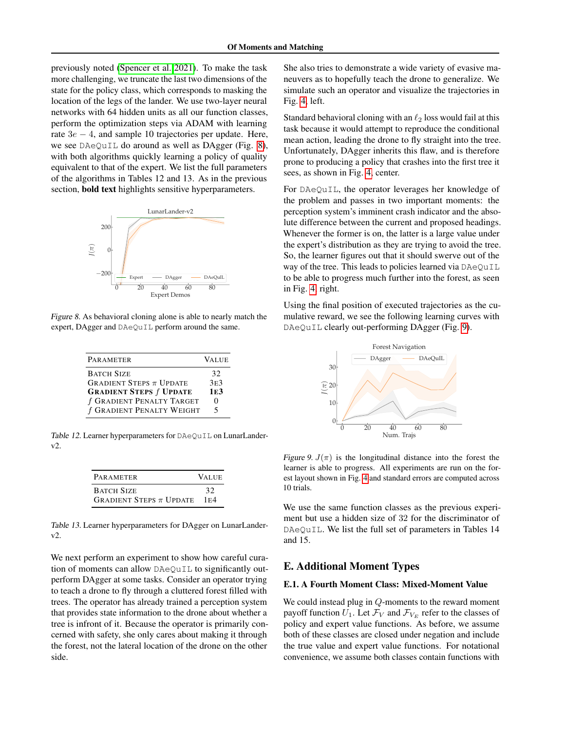previously noted [\(Spencer et al. 2021\)](#page-10-13). To make the task more challenging, we truncate the last two dimensions of the state for the policy class, which corresponds to masking the location of the legs of the lander. We use two-layer neural networks with 64 hidden units as all our function classes, perform the optimization steps via ADAM with learning rate  $3e - 4$ , and sample 10 trajectories per update. Here, we see DAeQuIL do around as well as DAgger (Fig. [8\)](#page-16-1), with both algorithms quickly learning a policy of quality equivalent to that of the expert. We list the full parameters of the algorithms in Tables 12 and 13. As in the previous section, **bold text** highlights sensitive hyperparameters.

<span id="page-16-1"></span>

Figure 8. As behavioral cloning alone is able to nearly match the expert, DAgger and DAeQuIL perform around the same.

| PARAMETER                                              | <b>VALUE</b>          |
|--------------------------------------------------------|-----------------------|
| <b>BATCH SIZE</b><br>GRADIENT STEPS $\pi$ UPDATE       | 32<br>3E <sub>3</sub> |
| <b>GRADIENT STEPS f UPDATE</b>                         | 1E <sub>3</sub>       |
| f GRADIENT PENALTY TARGET<br>f GRADIENT PENALTY WEIGHT | 5                     |

Table 12. Learner hyperparameters for DAeQuIL on LunarLanderv2.

| <b>PARAMETER</b>                              | <b>VALUE</b> |
|-----------------------------------------------|--------------|
| <b>BATCH SIZE</b>                             | 32           |
| <b>GRADIENT STEPS <math>\pi</math> UPDATE</b> | 1E4          |

Table 13. Learner hyperparameters for DAgger on LunarLanderv2.

We next perform an experiment to show how careful curation of moments can allow DAeQuIL to significantly outperform DAgger at some tasks. Consider an operator trying to teach a drone to fly through a cluttered forest filled with trees. The operator has already trained a perception system that provides state information to the drone about whether a tree is infront of it. Because the operator is primarily concerned with safety, she only cares about making it through the forest, not the lateral location of the drone on the other side.

She also tries to demonstrate a wide variety of evasive maneuvers as to hopefully teach the drone to generalize. We simulate such an operator and visualize the trajectories in Fig. [4,](#page-7-2) left.

Standard behavioral cloning with an  $\ell_2$  loss would fail at this task because it would attempt to reproduce the conditional mean action, leading the drone to fly straight into the tree. Unfortunately, DAgger inherits this flaw, and is therefore prone to producing a policy that crashes into the first tree it sees, as shown in Fig. [4,](#page-7-2) center.

For DAeQuIL, the operator leverages her knowledge of the problem and passes in two important moments: the perception system's imminent crash indicator and the absolute difference between the current and proposed headings. Whenever the former is on, the latter is a large value under the expert's distribution as they are trying to avoid the tree. So, the learner figures out that it should swerve out of the way of the tree. This leads to policies learned via  $DAeQu1L$ to be able to progress much further into the forest, as seen in Fig. [4,](#page-7-2) right.

Using the final position of executed trajectories as the cumulative reward, we see the following learning curves with DAeQuIL clearly out-performing DAgger (Fig. [9\)](#page-16-2).

<span id="page-16-2"></span>

Figure 9.  $J(\pi)$  is the longitudinal distance into the forest the learner is able to progress. All experiments are run on the forest layout shown in Fig. [4](#page-7-2) and standard errors are computed across 10 trials.

We use the same function classes as the previous experiment but use a hidden size of 32 for the discriminator of DAeQuIL. We list the full set of parameters in Tables 14 and 15.

## <span id="page-16-0"></span>E. Additional Moment Types

## E.1. A Fourth Moment Class: Mixed-Moment Value

We could instead plug in Q-moments to the reward moment payoff function  $U_1$ . Let  $\mathcal{F}_V$  and  $\mathcal{F}_{V_F}$  refer to the classes of policy and expert value functions. As before, we assume both of these classes are closed under negation and include the true value and expert value functions. For notational convenience, we assume both classes contain functions with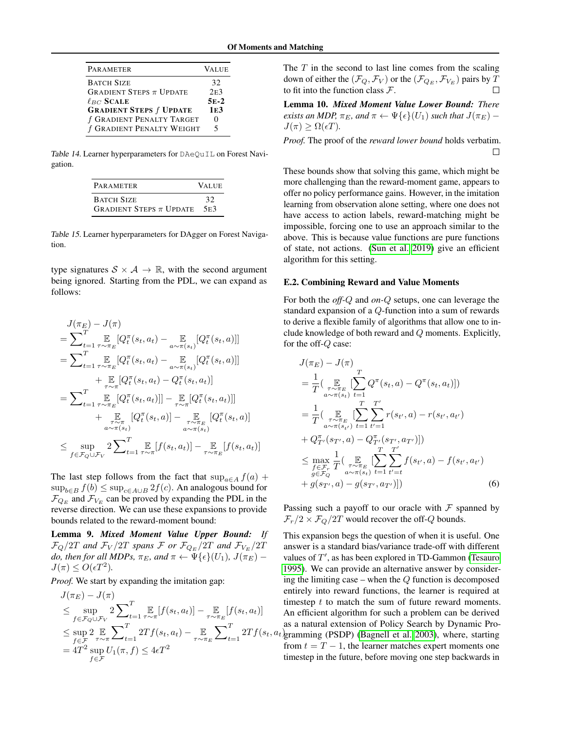| PARAMETER                                     | <b>VALUE</b>    |
|-----------------------------------------------|-----------------|
| <b>BATCH SIZE</b>                             | 32              |
| <b>GRADIENT STEPS <math>\pi</math> UPDATE</b> | 2E <sub>3</sub> |
| $\ell_{BC}$ SCALE                             | $5E-2$          |
| <b>GRADIENT STEPS f UPDATE</b>                | 1E <sub>3</sub> |
| f GRADIENT PENALTY TARGET                     |                 |
| f GRADIENT PENALTY WEIGHT                     |                 |

Table 14. Learner hyperparameters for DAeQuIL on Forest Navigation.

| <b>PARAMETER</b>                              | <b>VALUE</b> |
|-----------------------------------------------|--------------|
| <b>BATCH SIZE</b>                             | 32           |
| <b>GRADIENT STEPS <math>\pi</math> UPDATE</b> | 5E3          |

Table 15. Learner hyperparameters for DAgger on Forest Navigation.

type signatures  $S \times A \rightarrow \mathbb{R}$ , with the second argument being ignored. Starting from the PDL, we can expand as follows:

$$
J(\pi_E) - J(\pi)
$$
\n
$$
= \sum_{t=1}^T \mathbb{E}_{\tau \sim \pi_E} [Q_t^{\pi}(s_t, a_t) - \mathbb{E}_{a \sim \pi(s_t)}[Q_t^{\pi}(s_t, a)]]
$$
\n
$$
= \sum_{t=1}^T \mathbb{E}_{\tau \sim \pi_E} [Q_t^{\pi}(s_t, a_t) - \mathbb{E}_{a \sim \pi(s_t)}[Q_t^{\pi}(s_t, a)]]
$$
\n
$$
+ \mathbb{E}_{\tau \sim \pi} [Q_t^{\pi}(s_t, a_t) - Q_t^{\pi}(s_t, a_t)]
$$
\n
$$
= \sum_{t=1}^T \mathbb{E}_{\tau \sim \pi_E} [Q_t^{\pi}(s_t, a_t)]] - \mathbb{E}_{\tau \sim \pi} [Q_t^{\pi}(s_t, a_t)]]
$$
\n
$$
+ \mathbb{E}_{\tau \sim \pi} [Q_t^{\pi}(s_t, a)] - \mathbb{E}_{\pi \sim \pi} [Q_t^{\pi}(s_t, a)]
$$
\n
$$
\leq \sup_{a \sim \pi(s_t)} 2 \sum_{t=1}^T \mathbb{E}_{\tau \sim \pi} [f(s_t, a_t)] - \mathbb{E}_{\tau \sim \pi_E} [f(s_t, a_t)]
$$

The last step follows from the fact that  $\sup_{a \in A} f(a)$  +  $\sup_{b\in B} f(b) \leq \sup_{c\in A\cup B} 2f(c)$ . An analogous bound for  $\mathcal{F}_{Q_E}$  and  $\mathcal{F}_{V_E}$  can be proved by expanding the PDL in the reverse direction. We can use these expansions to provide bounds related to the reward-moment bound:

Lemma 9. *Mixed Moment Value Upper Bound: If*  $\mathcal{F}_Q/2T$  and  $\mathcal{F}_V/2T$  spans  $\mathcal{F}$  or  $\mathcal{F}_{Q_E}/2T$  and  $\mathcal{F}_{V_E}/2T$ *do, then for all MDPs,*  $\pi_E$ *, and*  $\pi \leftarrow \Psi\{\epsilon\}(U_1)$ *,*  $J(\pi_E)$  –  $J(\pi) \leq O(\epsilon T^2)$ .

*Proof.* We start by expanding the imitation gap:

$$
J(\pi_E) - J(\pi)
$$
  
\n
$$
\leq \sup_{f \in \mathcal{F}_Q \cup \mathcal{F}_V} 2 \sum_{t=1}^T \mathbb{E}_{\tau \sim \pi} [f(s_t, a_t)] - \mathbb{E}_{\tau \sim \pi_E} [f(s_t, a_t)]
$$
  
\n
$$
\leq \sup_{f \in \mathcal{F}} 2 \mathbb{E}_{\tau \sim \pi} \sum_{t=1}^T 2Tf(s_t, a_t) - \mathbb{E}_{\tau \sim \pi_E} \sum_{t=1}^T 2Tf(s_t, a_t)
$$
  
\n
$$
= 4T^2 \sup_{f \in \mathcal{F}} U_1(\pi, f) \leq 4\epsilon T^2
$$

The  $T$  in the second to last line comes from the scaling down of either the  $(\mathcal{F}_Q, \mathcal{F}_V)$  or the  $(\mathcal{F}_{Q_E}, \mathcal{F}_{V_E})$  pairs by T to fit into the function class  $\mathcal{F}$ .

Lemma 10. *Mixed Moment Value Lower Bound: There exists an MDP,*  $\pi_E$ *, and*  $\pi \leftarrow \Psi\{\epsilon\}(U_1)$  *such that*  $J(\pi_E)$  –  $J(\pi) > \Omega(\epsilon T)$ .

*Proof.* The proof of the *reward lower bound* holds verbatim.  $\Box$ 

These bounds show that solving this game, which might be more challenging than the reward-moment game, appears to offer no policy performance gains. However, in the imitation learning from observation alone setting, where one does not have access to action labels, reward-matching might be impossible, forcing one to use an approach similar to the above. This is because value functions are pure functions of state, not actions. [\(Sun et al. 2019\)](#page-10-2) give an efficient algorithm for this setting.

#### E.2. Combining Reward and Value Moments

For both the *off-*Q and *on-*Q setups, one can leverage the standard expansion of a Q-function into a sum of rewards to derive a flexible family of algorithms that allow one to include knowledge of both reward and Q moments. Explicitly, for the off-Q case:

$$
J(\pi_E) - J(\pi)
$$
  
=  $\frac{1}{T} \Big( \mathop{\mathbb{E}}_{\substack{\pi \sim \pi_E \\ a \sim \pi(s_t)}} \Big[ \sum_{t=1}^T Q^{\pi}(s_t, a) - Q^{\pi}(s_t, a_t) \Big] \Big)$   
=  $\frac{1}{T} \Big( \mathop{\mathbb{E}}_{\substack{\pi \sim \pi_E \\ a \sim \pi(s_{t'})}} \Big[ \sum_{t=1}^T \sum_{t'=1}^{T'} r(s_{t'}, a) - r(s_{t'}, a_{t'})$   
+  $Q^{\pi}_{T'}(s_{T'}, a) - Q^{\pi}_{T'}(s_{T'}, a_{T'}) \Big] \Big)$   
 $\leq \max_{f \in \mathcal{F}_{\tau}} \frac{1}{T} \Big( \mathop{\mathbb{E}}_{\substack{\pi \sim \pi_E \\ g \in \mathcal{F}_Q}} \Big[ \sum_{\substack{\pi \sim \pi_E \\ a \sim \pi(s_t)}} \sum_{t=1}^T \sum_{t'=t}^{T'} f(s_{t'}, a) - f(s_{t'}, a_{t'})$   
+  $g(s_{T'}, a) - g(s_{T'}, a_{T'}) \Big] \Big)$  (6)

Passing such a payoff to our oracle with  $\mathcal F$  spanned by  $\mathcal{F}_r/2 \times \mathcal{F}_Q/2T$  would recover the off-Q bounds.

 $2Tf(s_t, a_t)$ gramming (PSDP) [\(Bagnell et al. 2003\)](#page-9-13), where, starting This expansion begs the question of when it is useful. One answer is a standard bias/variance trade-off with different values of  $T'$ , as has been explored in TD-Gammon [\(Tesauro](#page-10-20) [1995\)](#page-10-20). We can provide an alternative answer by considering the limiting case – when the  $Q$  function is decomposed entirely into reward functions, the learner is required at timestep  $t$  to match the sum of future reward moments. An efficient algorithm for such a problem can be derived as a natural extension of Policy Search by Dynamic Profrom  $t = T - 1$ , the learner matches expert moments one timestep in the future, before moving one step backwards in